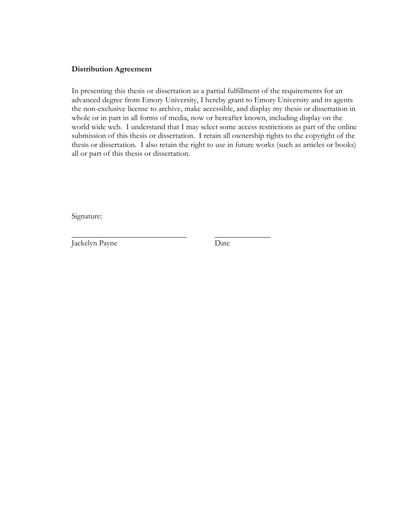## **Distribution Agreement**

In presenting this thesis or dissertation as a partial fulfillment of the requirements for an advanced degree from Emory University, I hereby grant to Emory University and its agents the non-exclusive license to archive, make accessible, and display my thesis or dissertation in whole or in part in all forms of media, now or hereafter known, including display on the world wide web. I understand that I may select some access restrictions as part of the online submission of this thesis or dissertation. I retain all ownership rights to the copyright of the thesis or dissertation. I also retain the right to use in future works (such as articles or books) all or part of this thesis or dissertation.

Signature:

Jackelyn Payne Date

\_\_\_\_\_\_\_\_\_\_\_\_\_\_\_\_\_\_\_\_\_\_\_\_\_\_\_\_\_ \_\_\_\_\_\_\_\_\_\_\_\_\_\_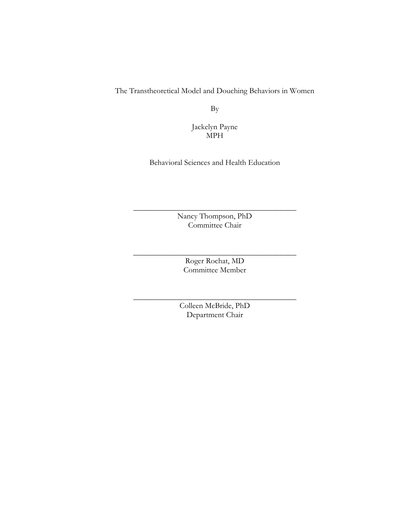The Transtheoretical Model and Douching Behaviors in Women

By

Jackelyn Payne MPH

Behavioral Sciences and Health Education

Nancy Thompson, PhD Committee Chair

 $\frac{1}{2}$  , and the set of the set of the set of the set of the set of the set of the set of the set of the set of the set of the set of the set of the set of the set of the set of the set of the set of the set of the set

Roger Rochat, MD Committee Member

 $\frac{1}{2}$  , and the set of the set of the set of the set of the set of the set of the set of the set of the set of the set of the set of the set of the set of the set of the set of the set of the set of the set of the set

Colleen McBride, PhD Department Chair

 $\frac{1}{2}$  , and the set of the set of the set of the set of the set of the set of the set of the set of the set of the set of the set of the set of the set of the set of the set of the set of the set of the set of the set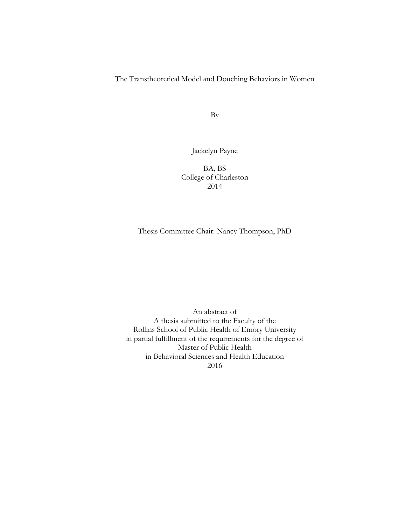The Transtheoretical Model and Douching Behaviors in Women

By

Jackelyn Payne

BA, BS College of Charleston 2014

Thesis Committee Chair: Nancy Thompson, PhD

An abstract of A thesis submitted to the Faculty of the Rollins School of Public Health of Emory University in partial fulfillment of the requirements for the degree of Master of Public Health in Behavioral Sciences and Health Education 2016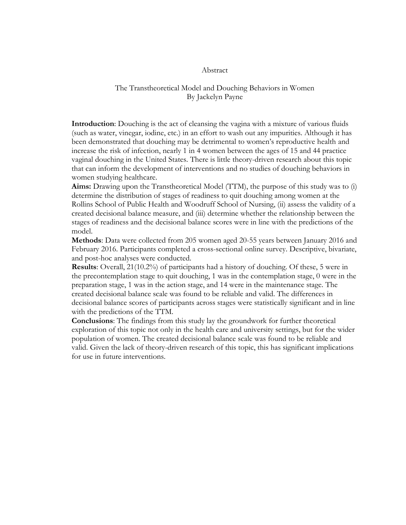#### Abstract

# The Transtheoretical Model and Douching Behaviors in Women By Jackelyn Payne

**Introduction**: Douching is the act of cleansing the vagina with a mixture of various fluids (such as water, vinegar, iodine, etc.) in an effort to wash out any impurities. Although it has been demonstrated that douching may be detrimental to women's reproductive health and increase the risk of infection, nearly 1 in 4 women between the ages of 15 and 44 practice vaginal douching in the United States. There is little theory-driven research about this topic that can inform the development of interventions and no studies of douching behaviors in women studying healthcare.

**Aims:** Drawing upon the Transtheoretical Model (TTM), the purpose of this study was to (i) determine the distribution of stages of readiness to quit douching among women at the Rollins School of Public Health and Woodruff School of Nursing, (ii) assess the validity of a created decisional balance measure, and (iii) determine whether the relationship between the stages of readiness and the decisional balance scores were in line with the predictions of the model.

**Methods**: Data were collected from 205 women aged 20-55 years between January 2016 and February 2016. Participants completed a cross-sectional online survey. Descriptive, bivariate, and post-hoc analyses were conducted.

**Results**: Overall, 21(10.2%) of participants had a history of douching. Of these, 5 were in the precontemplation stage to quit douching, 1 was in the contemplation stage, 0 were in the preparation stage, 1 was in the action stage, and 14 were in the maintenance stage. The created decisional balance scale was found to be reliable and valid. The differences in decisional balance scores of participants across stages were statistically significant and in line with the predictions of the TTM.

**Conclusions**: The findings from this study lay the groundwork for further theoretical exploration of this topic not only in the health care and university settings, but for the wider population of women. The created decisional balance scale was found to be reliable and valid. Given the lack of theory-driven research of this topic, this has significant implications for use in future interventions.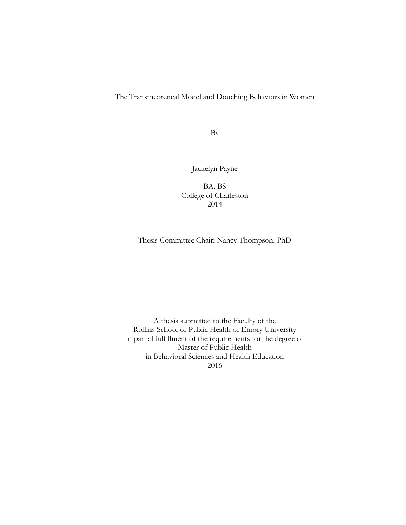# The Transtheoretical Model and Douching Behaviors in Women

By

Jackelyn Payne

BA, BS College of Charleston 2014

### Thesis Committee Chair: Nancy Thompson, PhD

A thesis submitted to the Faculty of the Rollins School of Public Health of Emory University in partial fulfillment of the requirements for the degree of Master of Public Health in Behavioral Sciences and Health Education 2016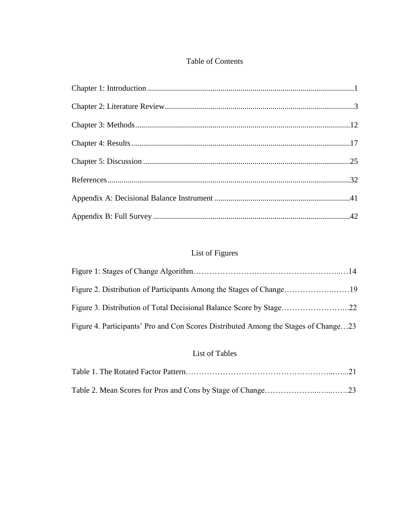# Table of Contents

# List of Figures

| Figure 4. Participants' Pro and Con Scores Distributed Among the Stages of Change23 |  |
|-------------------------------------------------------------------------------------|--|

# List of Tables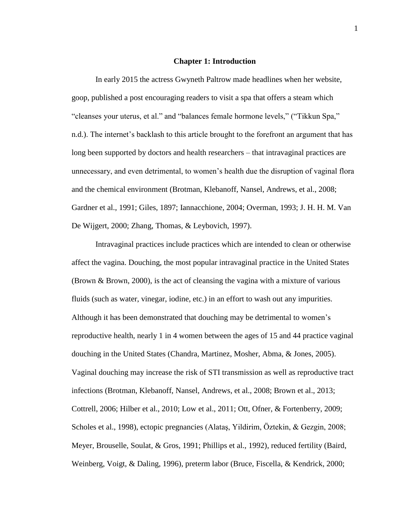#### **Chapter 1: Introduction**

In early 2015 the actress Gwyneth Paltrow made headlines when her website, goop, published a post encouraging readers to visit a spa that offers a steam which "cleanses your uterus, et al." and "balances female hormone levels," ("Tikkun Spa," n.d.). The internet's backlash to this article brought to the forefront an argument that has long been supported by doctors and health researchers – that intravaginal practices are unnecessary, and even detrimental, to women's health due the disruption of vaginal flora and the chemical environment (Brotman, Klebanoff, Nansel, Andrews, et al., 2008; Gardner et al., 1991; Giles, 1897; Iannacchione, 2004; Overman, 1993; J. H. H. M. Van De Wijgert, 2000; Zhang, Thomas, & Leybovich, 1997).

Intravaginal practices include practices which are intended to clean or otherwise affect the vagina. Douching, the most popular intravaginal practice in the United States (Brown & Brown, 2000), is the act of cleansing the vagina with a mixture of various fluids (such as water, vinegar, iodine, etc.) in an effort to wash out any impurities. Although it has been demonstrated that douching may be detrimental to women's reproductive health, nearly 1 in 4 women between the ages of 15 and 44 practice vaginal douching in the United States (Chandra, Martinez, Mosher, Abma, & Jones, 2005). Vaginal douching may increase the risk of STI transmission as well as reproductive tract infections (Brotman, Klebanoff, Nansel, Andrews, et al., 2008; Brown et al., 2013; Cottrell, 2006; Hilber et al., 2010; Low et al., 2011; Ott, Ofner, & Fortenberry, 2009; Scholes et al., 1998), ectopic pregnancies (Alataş, Yildirim, Öztekin, & Gezgin, 2008; Meyer, Brouselle, Soulat, & Gros, 1991; Phillips et al., 1992), reduced fertility (Baird, Weinberg, Voigt, & Daling, 1996), preterm labor (Bruce, Fiscella, & Kendrick, 2000;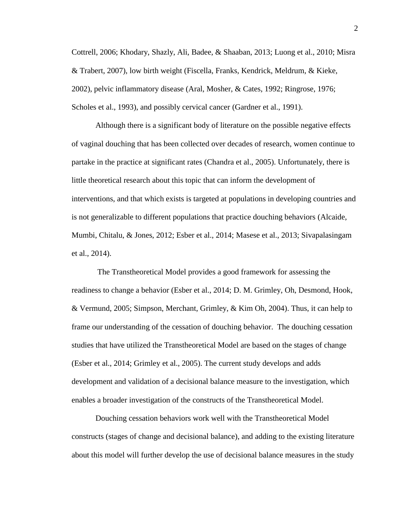Cottrell, 2006; Khodary, Shazly, Ali, Badee, & Shaaban, 2013; Luong et al., 2010; Misra & Trabert, 2007), low birth weight (Fiscella, Franks, Kendrick, Meldrum, & Kieke, 2002), pelvic inflammatory disease (Aral, Mosher, & Cates, 1992; Ringrose, 1976; Scholes et al., 1993), and possibly cervical cancer (Gardner et al., 1991).

Although there is a significant body of literature on the possible negative effects of vaginal douching that has been collected over decades of research, women continue to partake in the practice at significant rates (Chandra et al., 2005). Unfortunately, there is little theoretical research about this topic that can inform the development of interventions, and that which exists is targeted at populations in developing countries and is not generalizable to different populations that practice douching behaviors (Alcaide, Mumbi, Chitalu, & Jones, 2012; Esber et al., 2014; Masese et al., 2013; Sivapalasingam et al., 2014).

The Transtheoretical Model provides a good framework for assessing the readiness to change a behavior (Esber et al., 2014; D. M. Grimley, Oh, Desmond, Hook, & Vermund, 2005; Simpson, Merchant, Grimley, & Kim Oh, 2004). Thus, it can help to frame our understanding of the cessation of douching behavior. The douching cessation studies that have utilized the Transtheoretical Model are based on the stages of change (Esber et al., 2014; Grimley et al., 2005). The current study develops and adds development and validation of a decisional balance measure to the investigation, which enables a broader investigation of the constructs of the Transtheoretical Model.

Douching cessation behaviors work well with the Transtheoretical Model constructs (stages of change and decisional balance), and adding to the existing literature about this model will further develop the use of decisional balance measures in the study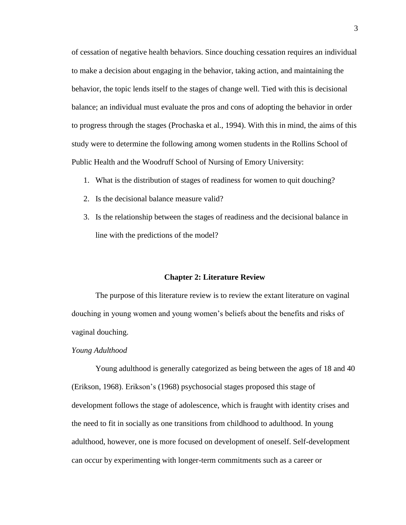of cessation of negative health behaviors. Since douching cessation requires an individual to make a decision about engaging in the behavior, taking action, and maintaining the behavior, the topic lends itself to the stages of change well. Tied with this is decisional balance; an individual must evaluate the pros and cons of adopting the behavior in order to progress through the stages (Prochaska et al., 1994). With this in mind, the aims of this study were to determine the following among women students in the Rollins School of Public Health and the Woodruff School of Nursing of Emory University:

- 1. What is the distribution of stages of readiness for women to quit douching?
- 2. Is the decisional balance measure valid?
- 3. Is the relationship between the stages of readiness and the decisional balance in line with the predictions of the model?

#### **Chapter 2: Literature Review**

The purpose of this literature review is to review the extant literature on vaginal douching in young women and young women's beliefs about the benefits and risks of vaginal douching.

### *Young Adulthood*

Young adulthood is generally categorized as being between the ages of 18 and 40 (Erikson, 1968). Erikson's (1968) psychosocial stages proposed this stage of development follows the stage of adolescence, which is fraught with identity crises and the need to fit in socially as one transitions from childhood to adulthood. In young adulthood, however, one is more focused on development of oneself. Self-development can occur by experimenting with longer-term commitments such as a career or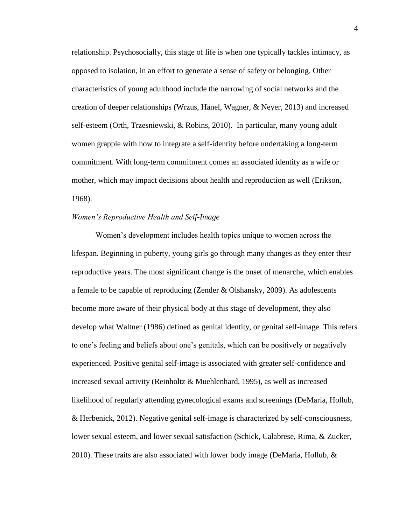relationship. Psychosocially, this stage of life is when one typically tackles intimacy, as opposed to isolation, in an effort to generate a sense of safety or belonging. Other characteristics of young adulthood include the narrowing of social networks and the creation of deeper relationships (Wrzus, Hänel, Wagner, & Neyer, 2013) and increased self-esteem (Orth, Trzesniewski, & Robins, 2010). In particular, many young adult women grapple with how to integrate a self-identity before undertaking a long-term commitment. With long-term commitment comes an associated identity as a wife or mother, which may impact decisions about health and reproduction as well (Erikson, 1968).

### *Women's Reproductive Health and Self-Image*

Women's development includes health topics unique to women across the lifespan. Beginning in puberty, young girls go through many changes as they enter their reproductive years. The most significant change is the onset of menarche, which enables a female to be capable of reproducing (Zender & Olshansky, 2009). As adolescents become more aware of their physical body at this stage of development, they also develop what Waltner (1986) defined as genital identity, or genital self-image. This refers to one's feeling and beliefs about one's genitals, which can be positively or negatively experienced. Positive genital self-image is associated with greater self-confidence and increased sexual activity (Reinholtz & Muehlenhard, 1995), as well as increased likelihood of regularly attending gynecological exams and screenings (DeMaria, Hollub, & Herbenick, 2012). Negative genital self-image is characterized by self-consciousness, lower sexual esteem, and lower sexual satisfaction (Schick, Calabrese, Rima, & Zucker, 2010). These traits are also associated with lower body image (DeMaria, Hollub,  $\&$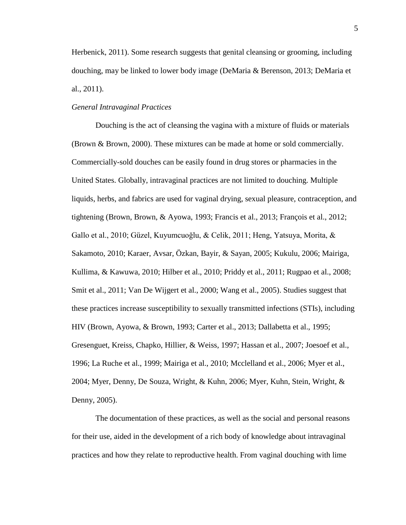Herbenick, 2011). Some research suggests that genital cleansing or grooming, including douching, may be linked to lower body image (DeMaria & Berenson, 2013; DeMaria et al., 2011).

### *General Intravaginal Practices*

Douching is the act of cleansing the vagina with a mixture of fluids or materials (Brown & Brown, 2000). These mixtures can be made at home or sold commercially. Commercially-sold douches can be easily found in drug stores or pharmacies in the United States. Globally, intravaginal practices are not limited to douching. Multiple liquids, herbs, and fabrics are used for vaginal drying, sexual pleasure, contraception, and tightening (Brown, Brown, & Ayowa, 1993; Francis et al., 2013; François et al., 2012; Gallo et al., 2010; Güzel, Kuyumcuoğlu, & Celik, 2011; Heng, Yatsuya, Morita, & Sakamoto, 2010; Karaer, Avsar, Özkan, Bayir, & Sayan, 2005; Kukulu, 2006; Mairiga, Kullima, & Kawuwa, 2010; Hilber et al., 2010; Priddy et al., 2011; Rugpao et al., 2008; Smit et al., 2011; Van De Wijgert et al., 2000; Wang et al., 2005). Studies suggest that these practices increase susceptibility to sexually transmitted infections (STIs), including HIV (Brown, Ayowa, & Brown, 1993; Carter et al., 2013; Dallabetta et al., 1995; Gresenguet, Kreiss, Chapko, Hillier, & Weiss, 1997; Hassan et al., 2007; Joesoef et al., 1996; La Ruche et al., 1999; Mairiga et al., 2010; Mcclelland et al., 2006; Myer et al., 2004; Myer, Denny, De Souza, Wright, & Kuhn, 2006; Myer, Kuhn, Stein, Wright, & Denny, 2005).

The documentation of these practices, as well as the social and personal reasons for their use, aided in the development of a rich body of knowledge about intravaginal practices and how they relate to reproductive health. From vaginal douching with lime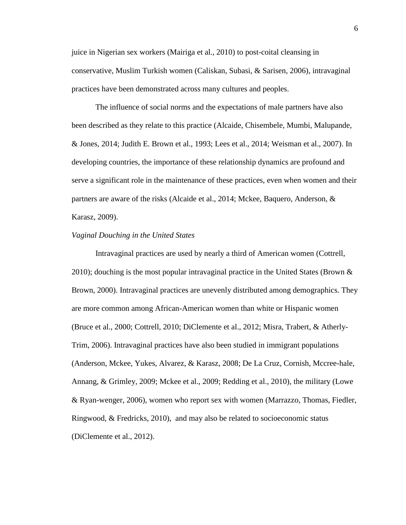juice in Nigerian sex workers (Mairiga et al., 2010) to post-coital cleansing in conservative, Muslim Turkish women (Caliskan, Subasi, & Sarisen, 2006), intravaginal practices have been demonstrated across many cultures and peoples.

The influence of social norms and the expectations of male partners have also been described as they relate to this practice (Alcaide, Chisembele, Mumbi, Malupande, & Jones, 2014; Judith E. Brown et al., 1993; Lees et al., 2014; Weisman et al., 2007). In developing countries, the importance of these relationship dynamics are profound and serve a significant role in the maintenance of these practices, even when women and their partners are aware of the risks (Alcaide et al., 2014; Mckee, Baquero, Anderson, & Karasz, 2009).

#### *Vaginal Douching in the United States*

Intravaginal practices are used by nearly a third of American women (Cottrell, 2010); douching is the most popular intravaginal practice in the United States (Brown  $\&$ Brown, 2000). Intravaginal practices are unevenly distributed among demographics. They are more common among African-American women than white or Hispanic women (Bruce et al., 2000; Cottrell, 2010; DiClemente et al., 2012; Misra, Trabert, & Atherly-Trim, 2006). Intravaginal practices have also been studied in immigrant populations (Anderson, Mckee, Yukes, Alvarez, & Karasz, 2008; De La Cruz, Cornish, Mccree-hale, Annang, & Grimley, 2009; Mckee et al., 2009; Redding et al., 2010), the military (Lowe & Ryan-wenger, 2006), women who report sex with women (Marrazzo, Thomas, Fiedler, Ringwood, & Fredricks, 2010), and may also be related to socioeconomic status (DiClemente et al., 2012).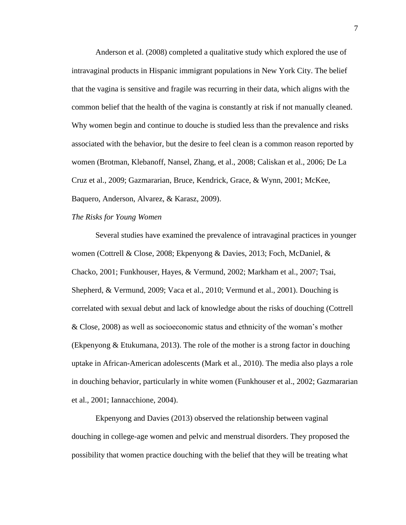Anderson et al. (2008) completed a qualitative study which explored the use of intravaginal products in Hispanic immigrant populations in New York City. The belief that the vagina is sensitive and fragile was recurring in their data, which aligns with the common belief that the health of the vagina is constantly at risk if not manually cleaned. Why women begin and continue to douche is studied less than the prevalence and risks associated with the behavior, but the desire to feel clean is a common reason reported by women (Brotman, Klebanoff, Nansel, Zhang, et al., 2008; Caliskan et al., 2006; De La Cruz et al., 2009; Gazmararian, Bruce, Kendrick, Grace, & Wynn, 2001; McKee, Baquero, Anderson, Alvarez, & Karasz, 2009).

#### *The Risks for Young Women*

Several studies have examined the prevalence of intravaginal practices in younger women (Cottrell & Close, 2008; Ekpenyong & Davies, 2013; Foch, McDaniel, & Chacko, 2001; Funkhouser, Hayes, & Vermund, 2002; Markham et al., 2007; Tsai, Shepherd, & Vermund, 2009; Vaca et al., 2010; Vermund et al., 2001). Douching is correlated with sexual debut and lack of knowledge about the risks of douching (Cottrell & Close, 2008) as well as socioeconomic status and ethnicity of the woman's mother (Ekpenyong & Etukumana, 2013). The role of the mother is a strong factor in douching uptake in African-American adolescents (Mark et al., 2010). The media also plays a role in douching behavior, particularly in white women (Funkhouser et al., 2002; Gazmararian et al., 2001; Iannacchione, 2004).

Ekpenyong and Davies (2013) observed the relationship between vaginal douching in college-age women and pelvic and menstrual disorders. They proposed the possibility that women practice douching with the belief that they will be treating what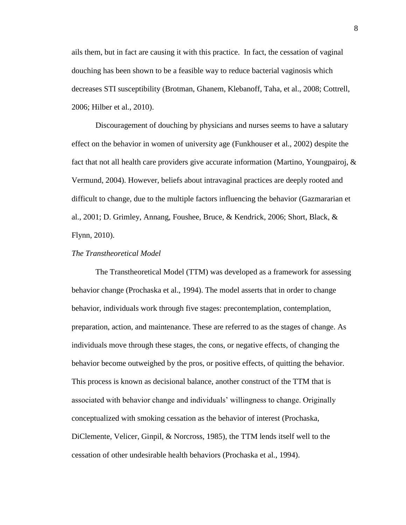ails them, but in fact are causing it with this practice. In fact, the cessation of vaginal douching has been shown to be a feasible way to reduce bacterial vaginosis which decreases STI susceptibility (Brotman, Ghanem, Klebanoff, Taha, et al., 2008; Cottrell, 2006; Hilber et al., 2010).

Discouragement of douching by physicians and nurses seems to have a salutary effect on the behavior in women of university age (Funkhouser et al., 2002) despite the fact that not all health care providers give accurate information (Martino, Youngpairoj,  $\&$ Vermund, 2004). However, beliefs about intravaginal practices are deeply rooted and difficult to change, due to the multiple factors influencing the behavior (Gazmararian et al., 2001; D. Grimley, Annang, Foushee, Bruce, & Kendrick, 2006; Short, Black, & Flynn, 2010).

#### *The Transtheoretical Model*

The Transtheoretical Model (TTM) was developed as a framework for assessing behavior change (Prochaska et al., 1994). The model asserts that in order to change behavior, individuals work through five stages: precontemplation, contemplation, preparation, action, and maintenance. These are referred to as the stages of change. As individuals move through these stages, the cons, or negative effects, of changing the behavior become outweighed by the pros, or positive effects, of quitting the behavior. This process is known as decisional balance, another construct of the TTM that is associated with behavior change and individuals' willingness to change. Originally conceptualized with smoking cessation as the behavior of interest (Prochaska, DiClemente, Velicer, Ginpil, & Norcross, 1985), the TTM lends itself well to the cessation of other undesirable health behaviors (Prochaska et al., 1994).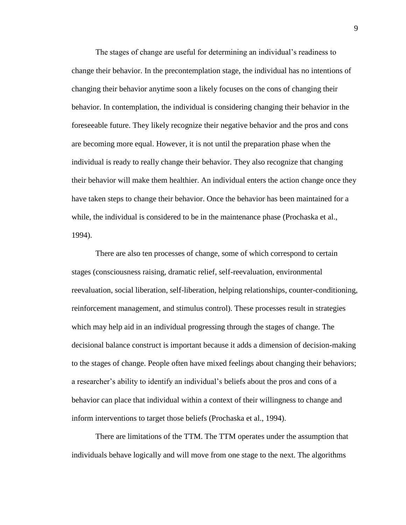The stages of change are useful for determining an individual's readiness to change their behavior. In the precontemplation stage, the individual has no intentions of changing their behavior anytime soon a likely focuses on the cons of changing their behavior. In contemplation, the individual is considering changing their behavior in the foreseeable future. They likely recognize their negative behavior and the pros and cons are becoming more equal. However, it is not until the preparation phase when the individual is ready to really change their behavior. They also recognize that changing their behavior will make them healthier. An individual enters the action change once they have taken steps to change their behavior. Once the behavior has been maintained for a while, the individual is considered to be in the maintenance phase (Prochaska et al., 1994).

There are also ten processes of change, some of which correspond to certain stages (consciousness raising, dramatic relief, self-reevaluation, environmental reevaluation, social liberation, self-liberation, helping relationships, counter-conditioning, reinforcement management, and stimulus control). These processes result in strategies which may help aid in an individual progressing through the stages of change. The decisional balance construct is important because it adds a dimension of decision-making to the stages of change. People often have mixed feelings about changing their behaviors; a researcher's ability to identify an individual's beliefs about the pros and cons of a behavior can place that individual within a context of their willingness to change and inform interventions to target those beliefs (Prochaska et al., 1994).

There are limitations of the TTM. The TTM operates under the assumption that individuals behave logically and will move from one stage to the next. The algorithms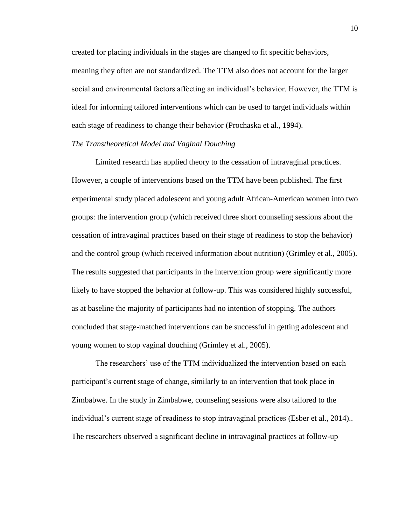created for placing individuals in the stages are changed to fit specific behaviors, meaning they often are not standardized. The TTM also does not account for the larger social and environmental factors affecting an individual's behavior. However, the TTM is ideal for informing tailored interventions which can be used to target individuals within each stage of readiness to change their behavior (Prochaska et al., 1994).

#### *The Transtheoretical Model and Vaginal Douching*

Limited research has applied theory to the cessation of intravaginal practices. However, a couple of interventions based on the TTM have been published. The first experimental study placed adolescent and young adult African-American women into two groups: the intervention group (which received three short counseling sessions about the cessation of intravaginal practices based on their stage of readiness to stop the behavior) and the control group (which received information about nutrition) (Grimley et al., 2005). The results suggested that participants in the intervention group were significantly more likely to have stopped the behavior at follow-up. This was considered highly successful, as at baseline the majority of participants had no intention of stopping. The authors concluded that stage-matched interventions can be successful in getting adolescent and young women to stop vaginal douching (Grimley et al., 2005).

The researchers' use of the TTM individualized the intervention based on each participant's current stage of change, similarly to an intervention that took place in Zimbabwe. In the study in Zimbabwe, counseling sessions were also tailored to the individual's current stage of readiness to stop intravaginal practices (Esber et al., 2014).. The researchers observed a significant decline in intravaginal practices at follow-up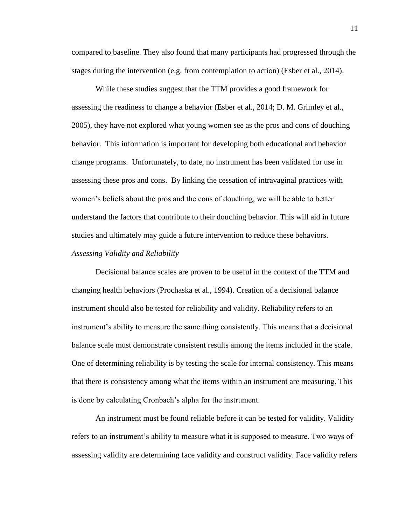compared to baseline. They also found that many participants had progressed through the stages during the intervention (e.g. from contemplation to action) (Esber et al., 2014).

While these studies suggest that the TTM provides a good framework for assessing the readiness to change a behavior (Esber et al., 2014; D. M. Grimley et al., 2005), they have not explored what young women see as the pros and cons of douching behavior. This information is important for developing both educational and behavior change programs. Unfortunately, to date, no instrument has been validated for use in assessing these pros and cons. By linking the cessation of intravaginal practices with women's beliefs about the pros and the cons of douching, we will be able to better understand the factors that contribute to their douching behavior. This will aid in future studies and ultimately may guide a future intervention to reduce these behaviors. *Assessing Validity and Reliability*

Decisional balance scales are proven to be useful in the context of the TTM and changing health behaviors (Prochaska et al., 1994). Creation of a decisional balance instrument should also be tested for reliability and validity. Reliability refers to an instrument's ability to measure the same thing consistently. This means that a decisional balance scale must demonstrate consistent results among the items included in the scale. One of determining reliability is by testing the scale for internal consistency. This means that there is consistency among what the items within an instrument are measuring. This is done by calculating Cronbach's alpha for the instrument.

An instrument must be found reliable before it can be tested for validity. Validity refers to an instrument's ability to measure what it is supposed to measure. Two ways of assessing validity are determining face validity and construct validity. Face validity refers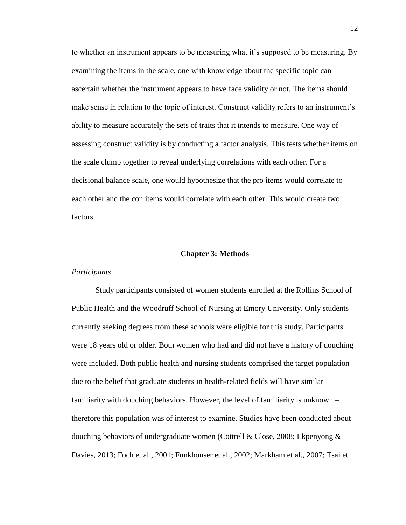to whether an instrument appears to be measuring what it's supposed to be measuring. By examining the items in the scale, one with knowledge about the specific topic can ascertain whether the instrument appears to have face validity or not. The items should make sense in relation to the topic of interest. Construct validity refers to an instrument's ability to measure accurately the sets of traits that it intends to measure. One way of assessing construct validity is by conducting a factor analysis. This tests whether items on the scale clump together to reveal underlying correlations with each other. For a decisional balance scale, one would hypothesize that the pro items would correlate to each other and the con items would correlate with each other. This would create two factors.

#### **Chapter 3: Methods**

#### *Participants*

Study participants consisted of women students enrolled at the Rollins School of Public Health and the Woodruff School of Nursing at Emory University. Only students currently seeking degrees from these schools were eligible for this study. Participants were 18 years old or older. Both women who had and did not have a history of douching were included. Both public health and nursing students comprised the target population due to the belief that graduate students in health-related fields will have similar familiarity with douching behaviors. However, the level of familiarity is unknown – therefore this population was of interest to examine. Studies have been conducted about douching behaviors of undergraduate women (Cottrell & Close, 2008; Ekpenyong & Davies, 2013; Foch et al., 2001; Funkhouser et al., 2002; Markham et al., 2007; Tsai et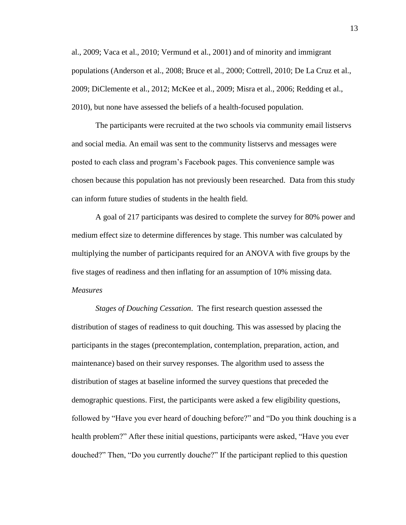al., 2009; Vaca et al., 2010; Vermund et al., 2001) and of minority and immigrant populations (Anderson et al., 2008; Bruce et al., 2000; Cottrell, 2010; De La Cruz et al., 2009; DiClemente et al., 2012; McKee et al., 2009; Misra et al., 2006; Redding et al., 2010), but none have assessed the beliefs of a health-focused population.

The participants were recruited at the two schools via community email listservs and social media. An email was sent to the community listservs and messages were posted to each class and program's Facebook pages. This convenience sample was chosen because this population has not previously been researched. Data from this study can inform future studies of students in the health field.

A goal of 217 participants was desired to complete the survey for 80% power and medium effect size to determine differences by stage. This number was calculated by multiplying the number of participants required for an ANOVA with five groups by the five stages of readiness and then inflating for an assumption of 10% missing data. *Measures*

*Stages of Douching Cessation*. The first research question assessed the distribution of stages of readiness to quit douching. This was assessed by placing the participants in the stages (precontemplation, contemplation, preparation, action, and maintenance) based on their survey responses. The algorithm used to assess the distribution of stages at baseline informed the survey questions that preceded the demographic questions. First, the participants were asked a few eligibility questions, followed by "Have you ever heard of douching before?" and "Do you think douching is a health problem?" After these initial questions, participants were asked, "Have you ever douched?" Then, "Do you currently douche?" If the participant replied to this question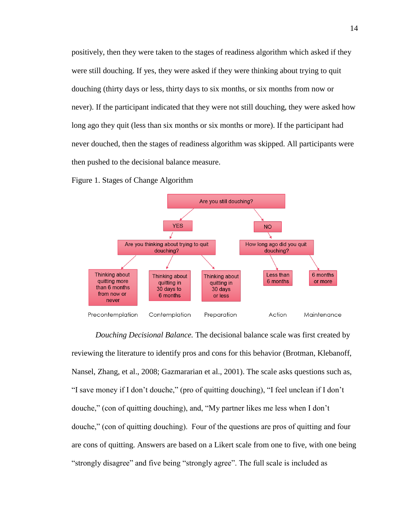positively, then they were taken to the stages of readiness algorithm which asked if they were still douching. If yes, they were asked if they were thinking about trying to quit douching (thirty days or less, thirty days to six months, or six months from now or never). If the participant indicated that they were not still douching, they were asked how long ago they quit (less than six months or six months or more). If the participant had never douched, then the stages of readiness algorithm was skipped. All participants were then pushed to the decisional balance measure.

Figure 1. Stages of Change Algorithm



*Douching Decisional Balance.* The decisional balance scale was first created by reviewing the literature to identify pros and cons for this behavior (Brotman, Klebanoff, Nansel, Zhang, et al., 2008; Gazmararian et al., 2001). The scale asks questions such as, "I save money if I don't douche," (pro of quitting douching), "I feel unclean if I don't douche," (con of quitting douching), and, "My partner likes me less when I don't douche," (con of quitting douching). Four of the questions are pros of quitting and four are cons of quitting. Answers are based on a Likert scale from one to five, with one being "strongly disagree" and five being "strongly agree". The full scale is included as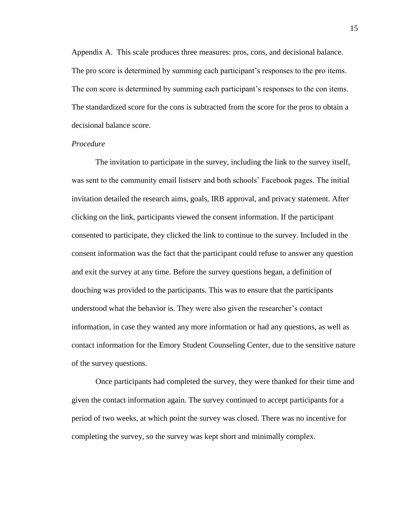Appendix A. This scale produces three measures: pros, cons, and decisional balance. The pro score is determined by summing each participant's responses to the pro items. The con score is determined by summing each participant's responses to the con items. The standardized score for the cons is subtracted from the score for the pros to obtain a decisional balance score.

### *Procedure*

The invitation to participate in the survey, including the link to the survey itself, was sent to the community email listserv and both schools' Facebook pages. The initial invitation detailed the research aims, goals, IRB approval, and privacy statement. After clicking on the link, participants viewed the consent information. If the participant consented to participate, they clicked the link to continue to the survey. Included in the consent information was the fact that the participant could refuse to answer any question and exit the survey at any time. Before the survey questions began, a definition of douching was provided to the participants. This was to ensure that the participants understood what the behavior is. They were also given the researcher's contact information, in case they wanted any more information or had any questions, as well as contact information for the Emory Student Counseling Center, due to the sensitive nature of the survey questions.

Once participants had completed the survey, they were thanked for their time and given the contact information again. The survey continued to accept participants for a period of two weeks, at which point the survey was closed. There was no incentive for completing the survey, so the survey was kept short and minimally complex.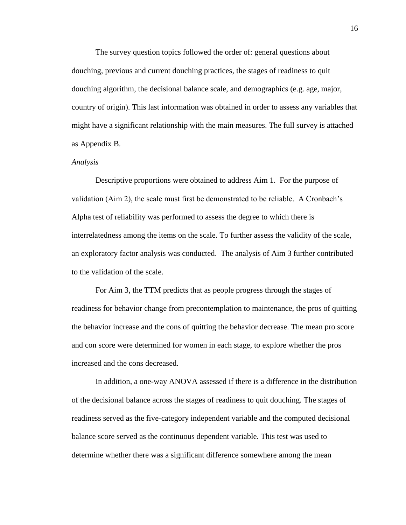The survey question topics followed the order of: general questions about douching, previous and current douching practices, the stages of readiness to quit douching algorithm, the decisional balance scale, and demographics (e.g. age, major, country of origin). This last information was obtained in order to assess any variables that might have a significant relationship with the main measures. The full survey is attached as Appendix B.

#### *Analysis*

Descriptive proportions were obtained to address Aim 1. For the purpose of validation (Aim 2), the scale must first be demonstrated to be reliable. A Cronbach's Alpha test of reliability was performed to assess the degree to which there is interrelatedness among the items on the scale. To further assess the validity of the scale, an exploratory factor analysis was conducted. The analysis of Aim 3 further contributed to the validation of the scale.

For Aim 3, the TTM predicts that as people progress through the stages of readiness for behavior change from precontemplation to maintenance, the pros of quitting the behavior increase and the cons of quitting the behavior decrease. The mean pro score and con score were determined for women in each stage, to explore whether the pros increased and the cons decreased.

In addition, a one-way ANOVA assessed if there is a difference in the distribution of the decisional balance across the stages of readiness to quit douching. The stages of readiness served as the five-category independent variable and the computed decisional balance score served as the continuous dependent variable. This test was used to determine whether there was a significant difference somewhere among the mean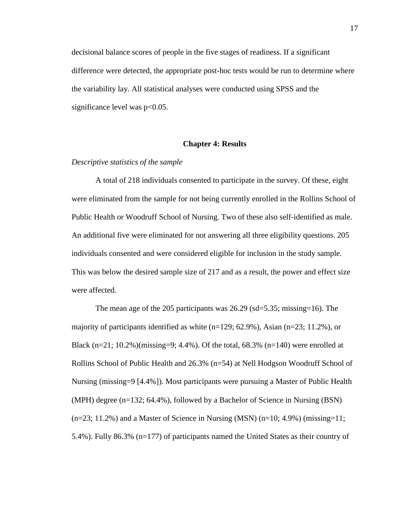decisional balance scores of people in the five stages of readiness. If a significant difference were detected, the appropriate post-hoc tests would be run to determine where the variability lay. All statistical analyses were conducted using SPSS and the significance level was  $p<0.05$ .

### **Chapter 4: Results**

# *Descriptive statistics of the sample*

A total of 218 individuals consented to participate in the survey. Of these, eight were eliminated from the sample for not being currently enrolled in the Rollins School of Public Health or Woodruff School of Nursing. Two of these also self-identified as male. An additional five were eliminated for not answering all three eligibility questions. 205 individuals consented and were considered eligible for inclusion in the study sample. This was below the desired sample size of 217 and as a result, the power and effect size were affected.

The mean age of the 205 participants was 26.29 (sd=5.35; missing=16). The majority of participants identified as white  $(n=129; 62.9\%)$ , Asian  $(n=23; 11.2\%)$ , or Black (n=21; 10.2%)(missing=9; 4.4%). Of the total,  $68.3\%$  (n=140) were enrolled at Rollins School of Public Health and 26.3% (n=54) at Nell Hodgson Woodruff School of Nursing (missing=9 [4.4%]). Most participants were pursuing a Master of Public Health (MPH) degree (n=132; 64.4%), followed by a Bachelor of Science in Nursing (BSN)  $(n=23; 11.2%)$  and a Master of Science in Nursing (MSN)  $(n=10; 4.9%)$  (missing=11; 5.4%). Fully 86.3% (n=177) of participants named the United States as their country of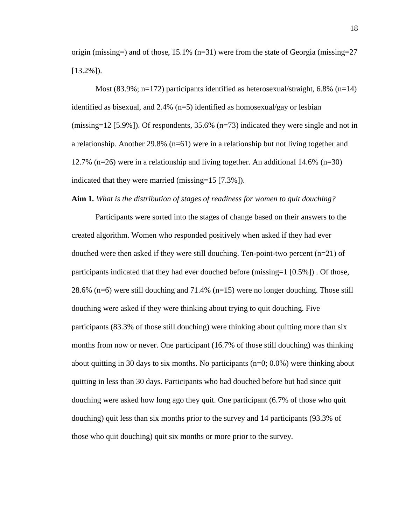origin (missing=) and of those,  $15.1\%$  (n=31) were from the state of Georgia (missing=27 [13.2%]).

Most  $(83.9\%; n=172)$  participants identified as heterosexual/straight, 6.8%  $(n=14)$ identified as bisexual, and  $2.4\%$  (n=5) identified as homosexual/gay or lesbian (missing=12 [5.9%]). Of respondents,  $35.6\%$  (n=73) indicated they were single and not in a relationship. Another 29.8%  $(n=61)$  were in a relationship but not living together and 12.7% (n=26) were in a relationship and living together. An additional 14.6% (n=30) indicated that they were married (missing=15 [7.3%]).

#### **Aim 1.** *What is the distribution of stages of readiness for women to quit douching?*

Participants were sorted into the stages of change based on their answers to the created algorithm. Women who responded positively when asked if they had ever douched were then asked if they were still douching. Ten-point-two percent (n=21) of participants indicated that they had ever douched before (missing=1 [0.5%]) . Of those, 28.6% (n=6) were still douching and 71.4% (n=15) were no longer douching. Those still douching were asked if they were thinking about trying to quit douching. Five participants (83.3% of those still douching) were thinking about quitting more than six months from now or never. One participant (16.7% of those still douching) was thinking about quitting in 30 days to six months. No participants  $(n=0; 0.0\%)$  were thinking about quitting in less than 30 days. Participants who had douched before but had since quit douching were asked how long ago they quit. One participant (6.7% of those who quit douching) quit less than six months prior to the survey and 14 participants (93.3% of those who quit douching) quit six months or more prior to the survey.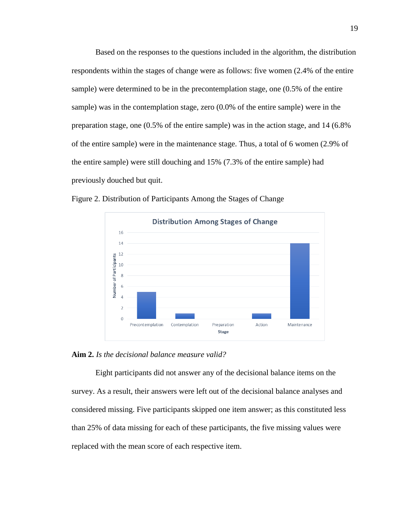Based on the responses to the questions included in the algorithm, the distribution respondents within the stages of change were as follows: five women (2.4% of the entire sample) were determined to be in the precontemplation stage, one (0.5% of the entire sample) was in the contemplation stage, zero (0.0% of the entire sample) were in the preparation stage, one (0.5% of the entire sample) was in the action stage, and 14 (6.8% of the entire sample) were in the maintenance stage. Thus, a total of 6 women (2.9% of the entire sample) were still douching and 15% (7.3% of the entire sample) had previously douched but quit.



Figure 2. Distribution of Participants Among the Stages of Change

**Aim 2.** *Is the decisional balance measure valid?*

Eight participants did not answer any of the decisional balance items on the survey. As a result, their answers were left out of the decisional balance analyses and considered missing. Five participants skipped one item answer; as this constituted less than 25% of data missing for each of these participants, the five missing values were replaced with the mean score of each respective item.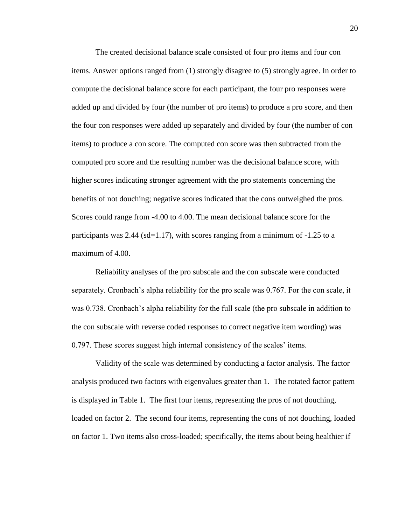The created decisional balance scale consisted of four pro items and four con items. Answer options ranged from (1) strongly disagree to (5) strongly agree. In order to compute the decisional balance score for each participant, the four pro responses were added up and divided by four (the number of pro items) to produce a pro score, and then the four con responses were added up separately and divided by four (the number of con items) to produce a con score. The computed con score was then subtracted from the computed pro score and the resulting number was the decisional balance score, with higher scores indicating stronger agreement with the pro statements concerning the benefits of not douching; negative scores indicated that the cons outweighed the pros. Scores could range from -4.00 to 4.00. The mean decisional balance score for the participants was 2.44 (sd=1.17), with scores ranging from a minimum of  $-1.25$  to a maximum of 4.00.

Reliability analyses of the pro subscale and the con subscale were conducted separately. Cronbach's alpha reliability for the pro scale was 0.767. For the con scale, it was 0.738. Cronbach's alpha reliability for the full scale (the pro subscale in addition to the con subscale with reverse coded responses to correct negative item wording) was 0.797. These scores suggest high internal consistency of the scales' items.

Validity of the scale was determined by conducting a factor analysis. The factor analysis produced two factors with eigenvalues greater than 1. The rotated factor pattern is displayed in Table 1. The first four items, representing the pros of not douching, loaded on factor 2. The second four items, representing the cons of not douching, loaded on factor 1. Two items also cross-loaded; specifically, the items about being healthier if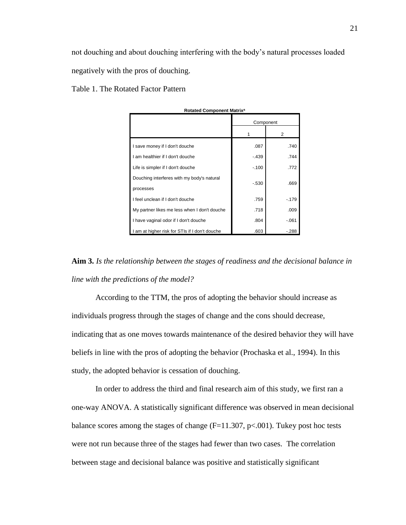not douching and about douching interfering with the body's natural processes loaded negatively with the pros of douching.

Table 1. The Rotated Factor Pattern

| Rotated Component Matrix <sup>a</sup>          |           |        |  |  |
|------------------------------------------------|-----------|--------|--|--|
|                                                | Component |        |  |  |
|                                                |           | 2      |  |  |
| I save money if I don't douche                 | .087      | .740   |  |  |
| I am healthier if I don't douche               | $-439$    | .744   |  |  |
| Life is simpler if I don't douche              | $-.100$   | .772   |  |  |
| Douching interferes with my body's natural     |           |        |  |  |
| processes                                      | $-530$    | .669   |  |  |
| I feel unclean if I don't douche               | .759      | $-179$ |  |  |
| My partner likes me less when I don't douche   | .718      | .009   |  |  |
| I have vaginal odor if I don't douche          | .804      | $-061$ |  |  |
| I am at higher risk for STIs if I don't douche | .603      | $-288$ |  |  |

**Aim 3.** *Is the relationship between the stages of readiness and the decisional balance in line with the predictions of the model?*

According to the TTM, the pros of adopting the behavior should increase as individuals progress through the stages of change and the cons should decrease, indicating that as one moves towards maintenance of the desired behavior they will have beliefs in line with the pros of adopting the behavior (Prochaska et al., 1994). In this study, the adopted behavior is cessation of douching.

In order to address the third and final research aim of this study, we first ran a one-way ANOVA. A statistically significant difference was observed in mean decisional balance scores among the stages of change  $(F=11.307, p<.001)$ . Tukey post hoc tests were not run because three of the stages had fewer than two cases. The correlation between stage and decisional balance was positive and statistically significant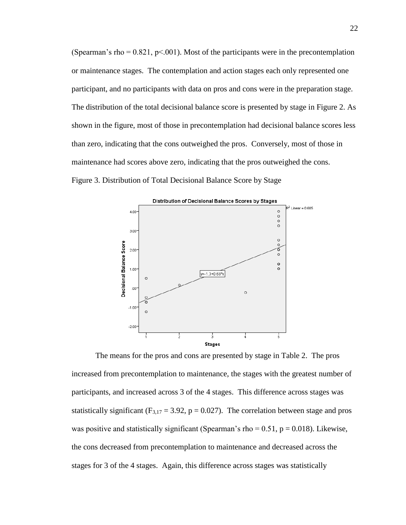(Spearman's rho =  $0.821$ , p<.001). Most of the participants were in the precontemplation or maintenance stages. The contemplation and action stages each only represented one participant, and no participants with data on pros and cons were in the preparation stage. The distribution of the total decisional balance score is presented by stage in Figure 2. As shown in the figure, most of those in precontemplation had decisional balance scores less than zero, indicating that the cons outweighed the pros. Conversely, most of those in maintenance had scores above zero, indicating that the pros outweighed the cons. Figure 3. Distribution of Total Decisional Balance Score by Stage



The means for the pros and cons are presented by stage in Table 2. The pros increased from precontemplation to maintenance, the stages with the greatest number of participants, and increased across 3 of the 4 stages. This difference across stages was statistically significant (F<sub>3,17</sub> = 3.92, p = 0.027). The correlation between stage and pros was positive and statistically significant (Spearman's rho =  $0.51$ , p =  $0.018$ ). Likewise, the cons decreased from precontemplation to maintenance and decreased across the stages for 3 of the 4 stages. Again, this difference across stages was statistically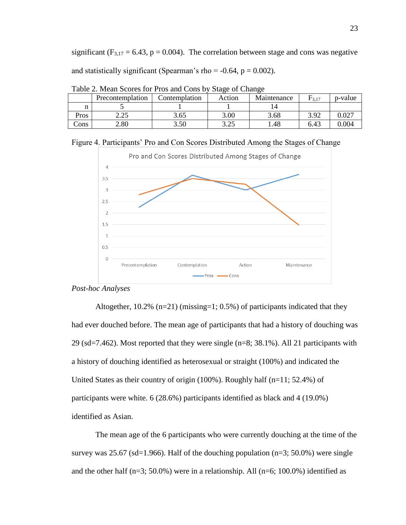significant (F<sub>3,17</sub> = 6.43, p = 0.004). The correlation between stage and cons was negative and statistically significant (Spearman's rho =  $-0.64$ , p = 0.002).

|      | Precontemplation | Contemplation | Action         | Maintenance | $\rm{F_{3,17}}$ | p-value |
|------|------------------|---------------|----------------|-------------|-----------------|---------|
|      |                  |               |                |             |                 |         |
| Pros | ل کے ویک         | 3.65          | 3.00           | 3.68        | 3.92            | 0.027   |
| Cons | 2.80             | 3.50          | 2 ጎሩ<br>ل⊾∠. ل | .48         | 6.43            | 0.004   |

Table 2. Mean Scores for Pros and Cons by Stage of Change





### *Post-hoc Analyses*

Altogether, 10.2% (n=21) (missing=1; 0.5%) of participants indicated that they had ever douched before. The mean age of participants that had a history of douching was 29 (sd=7.462). Most reported that they were single (n=8; 38.1%). All 21 participants with a history of douching identified as heterosexual or straight (100%) and indicated the United States as their country of origin (100%). Roughly half (n=11; 52.4%) of participants were white. 6 (28.6%) participants identified as black and 4 (19.0%) identified as Asian.

The mean age of the 6 participants who were currently douching at the time of the survey was 25.67 (sd=1.966). Half of the douching population ( $n=3$ ; 50.0%) were single and the other half ( $n=3$ ; 50.0%) were in a relationship. All ( $n=6$ ; 100.0%) identified as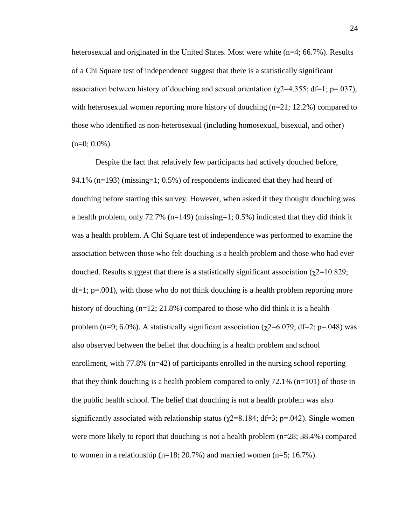heterosexual and originated in the United States. Most were white (n=4; 66.7%). Results of a Chi Square test of independence suggest that there is a statistically significant association between history of douching and sexual orientation ( $\gamma$ 2=4.355; df=1; p=.037), with heterosexual women reporting more history of douching  $(n=21; 12.2%)$  compared to those who identified as non-heterosexual (including homosexual, bisexual, and other)  $(n=0; 0.0\%)$ .

Despite the fact that relatively few participants had actively douched before, 94.1% ( $n=193$ ) ( $missing=1$ ; 0.5%) of respondents indicated that they had heard of douching before starting this survey. However, when asked if they thought douching was a health problem, only 72.7% ( $n=149$ ) (missing=1; 0.5%) indicated that they did think it was a health problem. A Chi Square test of independence was performed to examine the association between those who felt douching is a health problem and those who had ever douched. Results suggest that there is a statistically significant association ( $χ$ 2=10.829;  $df=1$ ;  $p=.001$ ), with those who do not think douching is a health problem reporting more history of douching (n=12; 21.8%) compared to those who did think it is a health problem (n=9; 6.0%). A statistically significant association ( $\gamma$ 2=6.079; df=2; p=.048) was also observed between the belief that douching is a health problem and school enrollment, with 77.8% (n=42) of participants enrolled in the nursing school reporting that they think douching is a health problem compared to only  $72.1\%$  (n=101) of those in the public health school. The belief that douching is not a health problem was also significantly associated with relationship status ( $\chi$ 2=8.184; df=3; p=.042). Single women were more likely to report that douching is not a health problem (n=28; 38.4%) compared to women in a relationship ( $n=18$ ; 20.7%) and married women ( $n=5$ ; 16.7%).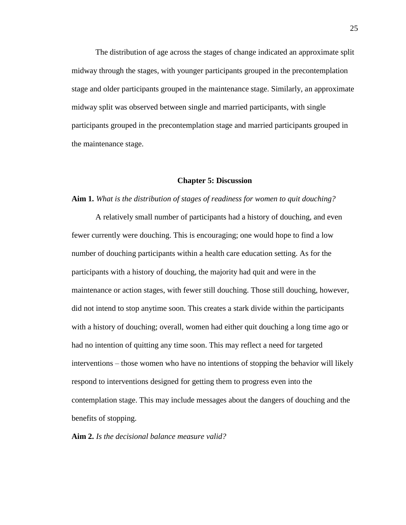The distribution of age across the stages of change indicated an approximate split midway through the stages, with younger participants grouped in the precontemplation stage and older participants grouped in the maintenance stage. Similarly, an approximate midway split was observed between single and married participants, with single participants grouped in the precontemplation stage and married participants grouped in the maintenance stage.

#### **Chapter 5: Discussion**

#### **Aim 1.** *What is the distribution of stages of readiness for women to quit douching?*

A relatively small number of participants had a history of douching, and even fewer currently were douching. This is encouraging; one would hope to find a low number of douching participants within a health care education setting. As for the participants with a history of douching, the majority had quit and were in the maintenance or action stages, with fewer still douching. Those still douching, however, did not intend to stop anytime soon. This creates a stark divide within the participants with a history of douching; overall, women had either quit douching a long time ago or had no intention of quitting any time soon. This may reflect a need for targeted interventions – those women who have no intentions of stopping the behavior will likely respond to interventions designed for getting them to progress even into the contemplation stage. This may include messages about the dangers of douching and the benefits of stopping.

**Aim 2.** *Is the decisional balance measure valid?*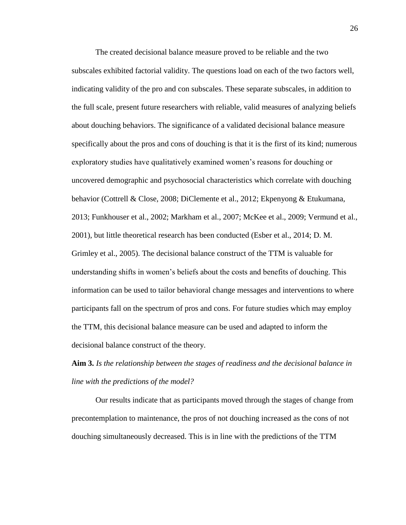The created decisional balance measure proved to be reliable and the two subscales exhibited factorial validity. The questions load on each of the two factors well, indicating validity of the pro and con subscales. These separate subscales, in addition to the full scale, present future researchers with reliable, valid measures of analyzing beliefs about douching behaviors. The significance of a validated decisional balance measure specifically about the pros and cons of douching is that it is the first of its kind; numerous exploratory studies have qualitatively examined women's reasons for douching or uncovered demographic and psychosocial characteristics which correlate with douching behavior (Cottrell & Close, 2008; DiClemente et al., 2012; Ekpenyong & Etukumana, 2013; Funkhouser et al., 2002; Markham et al., 2007; McKee et al., 2009; Vermund et al., 2001), but little theoretical research has been conducted (Esber et al., 2014; D. M. Grimley et al., 2005). The decisional balance construct of the TTM is valuable for understanding shifts in women's beliefs about the costs and benefits of douching. This information can be used to tailor behavioral change messages and interventions to where participants fall on the spectrum of pros and cons. For future studies which may employ the TTM, this decisional balance measure can be used and adapted to inform the decisional balance construct of the theory.

**Aim 3.** *Is the relationship between the stages of readiness and the decisional balance in line with the predictions of the model?*

Our results indicate that as participants moved through the stages of change from precontemplation to maintenance, the pros of not douching increased as the cons of not douching simultaneously decreased. This is in line with the predictions of the TTM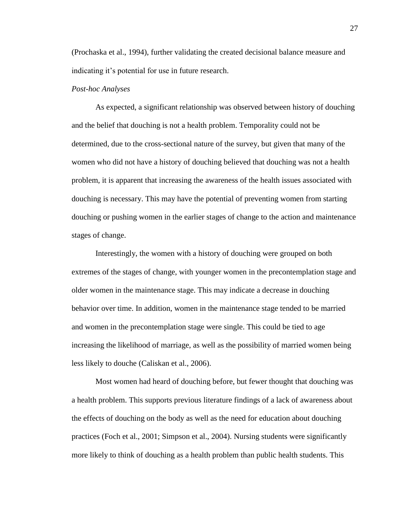(Prochaska et al., 1994), further validating the created decisional balance measure and indicating it's potential for use in future research.

#### *Post-hoc Analyses*

As expected, a significant relationship was observed between history of douching and the belief that douching is not a health problem. Temporality could not be determined, due to the cross-sectional nature of the survey, but given that many of the women who did not have a history of douching believed that douching was not a health problem, it is apparent that increasing the awareness of the health issues associated with douching is necessary. This may have the potential of preventing women from starting douching or pushing women in the earlier stages of change to the action and maintenance stages of change.

Interestingly, the women with a history of douching were grouped on both extremes of the stages of change, with younger women in the precontemplation stage and older women in the maintenance stage. This may indicate a decrease in douching behavior over time. In addition, women in the maintenance stage tended to be married and women in the precontemplation stage were single. This could be tied to age increasing the likelihood of marriage, as well as the possibility of married women being less likely to douche (Caliskan et al., 2006).

Most women had heard of douching before, but fewer thought that douching was a health problem. This supports previous literature findings of a lack of awareness about the effects of douching on the body as well as the need for education about douching practices (Foch et al., 2001; Simpson et al., 2004). Nursing students were significantly more likely to think of douching as a health problem than public health students. This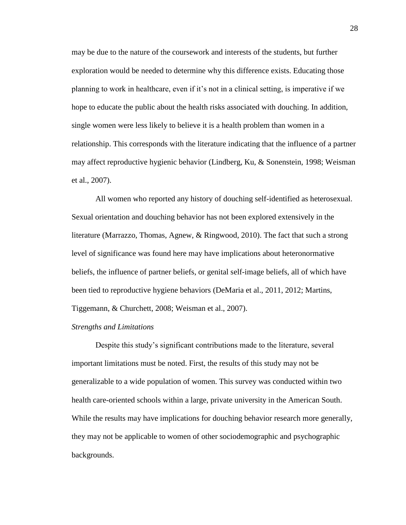may be due to the nature of the coursework and interests of the students, but further exploration would be needed to determine why this difference exists. Educating those planning to work in healthcare, even if it's not in a clinical setting, is imperative if we hope to educate the public about the health risks associated with douching. In addition, single women were less likely to believe it is a health problem than women in a relationship. This corresponds with the literature indicating that the influence of a partner may affect reproductive hygienic behavior (Lindberg, Ku, & Sonenstein, 1998; Weisman et al., 2007).

All women who reported any history of douching self-identified as heterosexual. Sexual orientation and douching behavior has not been explored extensively in the literature (Marrazzo, Thomas, Agnew, & Ringwood, 2010). The fact that such a strong level of significance was found here may have implications about heteronormative beliefs, the influence of partner beliefs, or genital self-image beliefs, all of which have been tied to reproductive hygiene behaviors (DeMaria et al., 2011, 2012; Martins, Tiggemann, & Churchett, 2008; Weisman et al., 2007).

#### *Strengths and Limitations*

Despite this study's significant contributions made to the literature, several important limitations must be noted. First, the results of this study may not be generalizable to a wide population of women. This survey was conducted within two health care-oriented schools within a large, private university in the American South. While the results may have implications for douching behavior research more generally, they may not be applicable to women of other sociodemographic and psychographic backgrounds.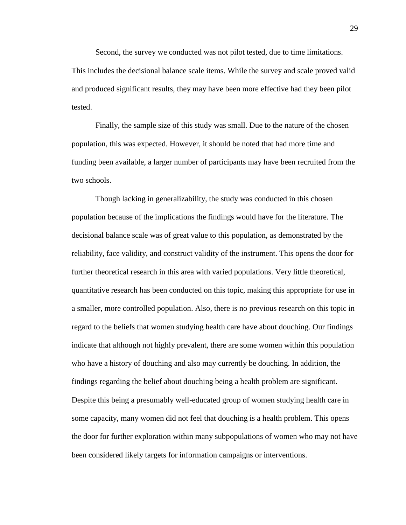Second, the survey we conducted was not pilot tested, due to time limitations. This includes the decisional balance scale items. While the survey and scale proved valid and produced significant results, they may have been more effective had they been pilot tested.

Finally, the sample size of this study was small. Due to the nature of the chosen population, this was expected. However, it should be noted that had more time and funding been available, a larger number of participants may have been recruited from the two schools.

Though lacking in generalizability, the study was conducted in this chosen population because of the implications the findings would have for the literature. The decisional balance scale was of great value to this population, as demonstrated by the reliability, face validity, and construct validity of the instrument. This opens the door for further theoretical research in this area with varied populations. Very little theoretical, quantitative research has been conducted on this topic, making this appropriate for use in a smaller, more controlled population. Also, there is no previous research on this topic in regard to the beliefs that women studying health care have about douching. Our findings indicate that although not highly prevalent, there are some women within this population who have a history of douching and also may currently be douching. In addition, the findings regarding the belief about douching being a health problem are significant. Despite this being a presumably well-educated group of women studying health care in some capacity, many women did not feel that douching is a health problem. This opens the door for further exploration within many subpopulations of women who may not have been considered likely targets for information campaigns or interventions.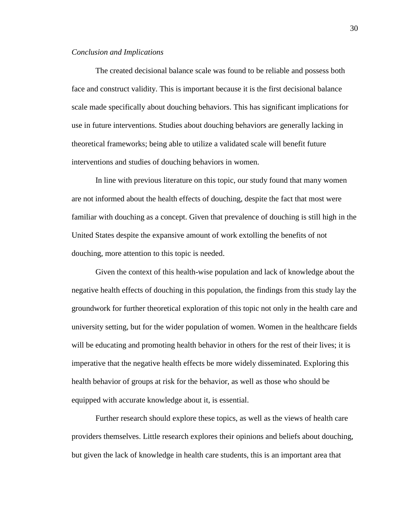#### *Conclusion and Implications*

The created decisional balance scale was found to be reliable and possess both face and construct validity. This is important because it is the first decisional balance scale made specifically about douching behaviors. This has significant implications for use in future interventions. Studies about douching behaviors are generally lacking in theoretical frameworks; being able to utilize a validated scale will benefit future interventions and studies of douching behaviors in women.

In line with previous literature on this topic, our study found that many women are not informed about the health effects of douching, despite the fact that most were familiar with douching as a concept. Given that prevalence of douching is still high in the United States despite the expansive amount of work extolling the benefits of not douching, more attention to this topic is needed.

Given the context of this health-wise population and lack of knowledge about the negative health effects of douching in this population, the findings from this study lay the groundwork for further theoretical exploration of this topic not only in the health care and university setting, but for the wider population of women. Women in the healthcare fields will be educating and promoting health behavior in others for the rest of their lives; it is imperative that the negative health effects be more widely disseminated. Exploring this health behavior of groups at risk for the behavior, as well as those who should be equipped with accurate knowledge about it, is essential.

Further research should explore these topics, as well as the views of health care providers themselves. Little research explores their opinions and beliefs about douching, but given the lack of knowledge in health care students, this is an important area that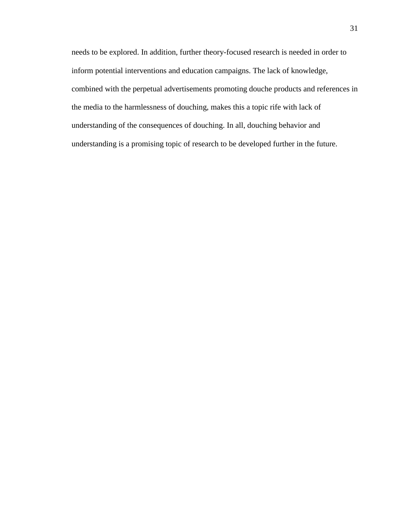needs to be explored. In addition, further theory-focused research is needed in order to inform potential interventions and education campaigns. The lack of knowledge, combined with the perpetual advertisements promoting douche products and references in the media to the harmlessness of douching, makes this a topic rife with lack of understanding of the consequences of douching. In all, douching behavior and understanding is a promising topic of research to be developed further in the future.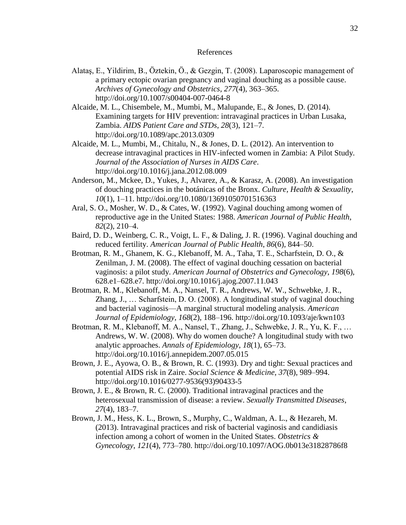#### References

- Alataş, E., Yildirim, B., Öztekin, Ö., & Gezgin, T. (2008). Laparoscopic management of a primary ectopic ovarian pregnancy and vaginal douching as a possible cause. *Archives of Gynecology and Obstetrics*, *277*(4), 363–365. http://doi.org/10.1007/s00404-007-0464-8
- Alcaide, M. L., Chisembele, M., Mumbi, M., Malupande, E., & Jones, D. (2014). Examining targets for HIV prevention: intravaginal practices in Urban Lusaka, Zambia. *AIDS Patient Care and STDs*, *28*(3), 121–7. http://doi.org/10.1089/apc.2013.0309
- Alcaide, M. L., Mumbi, M., Chitalu, N., & Jones, D. L. (2012). An intervention to decrease intravaginal practices in HIV-infected women in Zambia: A Pilot Study. *Journal of the Association of Nurses in AIDS Care*. http://doi.org/10.1016/j.jana.2012.08.009
- Anderson, M., Mckee, D., Yukes, J., Alvarez, A., & Karasz, A. (2008). An investigation of douching practices in the botánicas of the Bronx. *Culture, Health & Sexuality*, *10*(1), 1–11. http://doi.org/10.1080/13691050701516363
- Aral, S. O., Mosher, W. D., & Cates, W. (1992). Vaginal douching among women of reproductive age in the United States: 1988. *American Journal of Public Health*, *82*(2), 210–4.
- Baird, D. D., Weinberg, C. R., Voigt, L. F., & Daling, J. R. (1996). Vaginal douching and reduced fertility. *American Journal of Public Health*, *86*(6), 844–50.
- Brotman, R. M., Ghanem, K. G., Klebanoff, M. A., Taha, T. E., Scharfstein, D. O., & Zenilman, J. M. (2008). The effect of vaginal douching cessation on bacterial vaginosis: a pilot study. *American Journal of Obstetrics and Gynecology*, *198*(6), 628.e1–628.e7. http://doi.org/10.1016/j.ajog.2007.11.043
- Brotman, R. M., Klebanoff, M. A., Nansel, T. R., Andrews, W. W., Schwebke, J. R., Zhang, J., … Scharfstein, D. O. (2008). A longitudinal study of vaginal douching and bacterial vaginosis—A marginal structural modeling analysis. *American Journal of Epidemiology*, *168*(2), 188–196. http://doi.org/10.1093/aje/kwn103
- Brotman, R. M., Klebanoff, M. A., Nansel, T., Zhang, J., Schwebke, J. R., Yu, K. F., … Andrews, W. W. (2008). Why do women douche? A longitudinal study with two analytic approaches. *Annals of Epidemiology*, *18*(1), 65–73. http://doi.org/10.1016/j.annepidem.2007.05.015
- Brown, J. E., Ayowa, O. B., & Brown, R. C. (1993). Dry and tight: Sexual practices and potential AIDS risk in Zaire. *Social Science & Medicine*, *37*(8), 989–994. http://doi.org/10.1016/0277-9536(93)90433-5
- Brown, J. E., & Brown, R. C. (2000). Traditional intravaginal practices and the heterosexual transmission of disease: a review. *Sexually Transmitted Diseases*, *27*(4), 183–7.
- Brown, J. M., Hess, K. L., Brown, S., Murphy, C., Waldman, A. L., & Hezareh, M. (2013). Intravaginal practices and risk of bacterial vaginosis and candidiasis infection among a cohort of women in the United States. *Obstetrics & Gynecology*, *121*(4), 773–780. http://doi.org/10.1097/AOG.0b013e31828786f8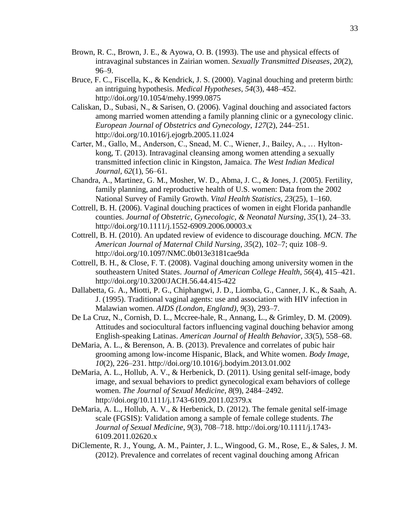- Brown, R. C., Brown, J. E., & Ayowa, O. B. (1993). The use and physical effects of intravaginal substances in Zairian women. *Sexually Transmitted Diseases*, *20*(2), 96–9.
- Bruce, F. C., Fiscella, K., & Kendrick, J. S. (2000). Vaginal douching and preterm birth: an intriguing hypothesis. *Medical Hypotheses*, *54*(3), 448–452. http://doi.org/10.1054/mehy.1999.0875
- Caliskan, D., Subasi, N., & Sarisen, O. (2006). Vaginal douching and associated factors among married women attending a family planning clinic or a gynecology clinic. *European Journal of Obstetrics and Gynecology*, *127*(2), 244–251. http://doi.org/10.1016/j.ejogrb.2005.11.024
- Carter, M., Gallo, M., Anderson, C., Snead, M. C., Wiener, J., Bailey, A., … Hyltonkong, T. (2013). Intravaginal cleansing among women attending a sexually transmitted infection clinic in Kingston, Jamaica. *The West Indian Medical Journal*, *62*(1), 56–61.
- Chandra, A., Martinez, G. M., Mosher, W. D., Abma, J. C., & Jones, J. (2005). Fertility, family planning, and reproductive health of U.S. women: Data from the 2002 National Survey of Family Growth. *Vital Health Statistics*, *23*(25), 1–160.
- Cottrell, B. H. (2006). Vaginal douching practices of women in eight Florida panhandle counties. *Journal of Obstetric, Gynecologic, & Neonatal Nursing*, *35*(1), 24–33. http://doi.org/10.1111/j.1552-6909.2006.00003.x
- Cottrell, B. H. (2010). An updated review of evidence to discourage douching. *MCN. The American Journal of Maternal Child Nursing*, *35*(2), 102–7; quiz 108–9. http://doi.org/10.1097/NMC.0b013e3181cae9da
- Cottrell, B. H., & Close, F. T. (2008). Vaginal douching among university women in the southeastern United States. *Journal of American College Health*, *56*(4), 415–421. http://doi.org/10.3200/JACH.56.44.415-422
- Dallabetta, G. A., Miotti, P. G., Chiphangwi, J. D., Liomba, G., Canner, J. K., & Saah, A. J. (1995). Traditional vaginal agents: use and association with HIV infection in Malawian women. *AIDS (London, England)*, *9*(3), 293–7.
- De La Cruz, N., Cornish, D. L., Mccree-hale, R., Annang, L., & Grimley, D. M. (2009). Attitudes and sociocultural factors influencing vaginal douching behavior among English-speaking Latinas. *American Journal of Health Behavior*, *33*(5), 558–68.
- DeMaria, A. L., & Berenson, A. B. (2013). Prevalence and correlates of pubic hair grooming among low-income Hispanic, Black, and White women. *Body Image*, *10*(2), 226–231. http://doi.org/10.1016/j.bodyim.2013.01.002
- DeMaria, A. L., Hollub, A. V., & Herbenick, D. (2011). Using genital self-image, body image, and sexual behaviors to predict gynecological exam behaviors of college women. *The Journal of Sexual Medicine*, *8*(9), 2484–2492. http://doi.org/10.1111/j.1743-6109.2011.02379.x
- DeMaria, A. L., Hollub, A. V., & Herbenick, D. (2012). The female genital self-image scale (FGSIS): Validation among a sample of female college students. *The Journal of Sexual Medicine*, *9*(3), 708–718. http://doi.org/10.1111/j.1743- 6109.2011.02620.x
- DiClemente, R. J., Young, A. M., Painter, J. L., Wingood, G. M., Rose, E., & Sales, J. M. (2012). Prevalence and correlates of recent vaginal douching among African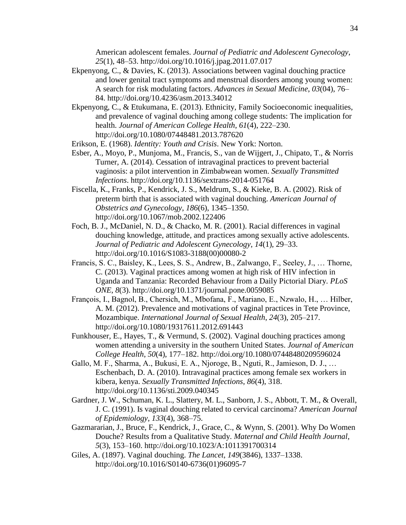American adolescent females. *Journal of Pediatric and Adolescent Gynecology*, *25*(1), 48–53. http://doi.org/10.1016/j.jpag.2011.07.017

- Ekpenyong, C., & Davies, K. (2013). Associations between vaginal douching practice and lower genital tract symptoms and menstrual disorders among young women: A search for risk modulating factors. *Advances in Sexual Medicine*, *03*(04), 76– 84. http://doi.org/10.4236/asm.2013.34012
- Ekpenyong, C., & Etukumana, E. (2013). Ethnicity, Family Socioeconomic inequalities, and prevalence of vaginal douching among college students: The implication for health. *Journal of American College Health*, *61*(4), 222–230. http://doi.org/10.1080/07448481.2013.787620
- Erikson, E. (1968). *Identity: Youth and Crisis*. New York: Norton.
- Esber, A., Moyo, P., Munjoma, M., Francis, S., van de Wijgert, J., Chipato, T., & Norris Turner, A. (2014). Cessation of intravaginal practices to prevent bacterial vaginosis: a pilot intervention in Zimbabwean women. *Sexually Transmitted Infections*. http://doi.org/10.1136/sextrans-2014-051764
- Fiscella, K., Franks, P., Kendrick, J. S., Meldrum, S., & Kieke, B. A. (2002). Risk of preterm birth that is associated with vaginal douching. *American Journal of Obstetrics and Gynecology*, *186*(6), 1345–1350. http://doi.org/10.1067/mob.2002.122406
- Foch, B. J., McDaniel, N. D., & Chacko, M. R. (2001). Racial differences in vaginal douching knowledge, attitude, and practices among sexually active adolescents. *Journal of Pediatric and Adolescent Gynecology*, *14*(1), 29–33. http://doi.org/10.1016/S1083-3188(00)00080-2
- Francis, S. C., Baisley, K., Lees, S. S., Andrew, B., Zalwango, F., Seeley, J., … Thorne, C. (2013). Vaginal practices among women at high risk of HIV infection in Uganda and Tanzania: Recorded Behaviour from a Daily Pictorial Diary. *PLoS ONE*, *8*(3). http://doi.org/10.1371/journal.pone.0059085
- François, I., Bagnol, B., Chersich, M., Mbofana, F., Mariano, E., Nzwalo, H., … Hilber, A. M. (2012). Prevalence and motivations of vaginal practices in Tete Province, Mozambique. *International Journal of Sexual Health*, *24*(3), 205–217. http://doi.org/10.1080/19317611.2012.691443
- Funkhouser, E., Hayes, T., & Vermund, S. (2002). Vaginal douching practices among women attending a university in the southern United States. *Journal of American College Health*, *50*(4), 177–182. http://doi.org/10.1080/07448480209596024
- Gallo, M. F., Sharma, A., Bukusi, E. A., Njoroge, B., Nguti, R., Jamieson, D. J., … Eschenbach, D. A. (2010). Intravaginal practices among female sex workers in kibera, kenya. *Sexually Transmitted Infections*, *86*(4), 318. http://doi.org/10.1136/sti.2009.040345
- Gardner, J. W., Schuman, K. L., Slattery, M. L., Sanborn, J. S., Abbott, T. M., & Overall, J. C. (1991). Is vaginal douching related to cervical carcinoma? *American Journal of Epidemiology*, *133*(4), 368–75.
- Gazmararian, J., Bruce, F., Kendrick, J., Grace, C., & Wynn, S. (2001). Why Do Women Douche? Results from a Qualitative Study. *Maternal and Child Health Journal*, *5*(3), 153–160. http://doi.org/10.1023/A:1011391700314
- Giles, A. (1897). Vaginal douching. *The Lancet*, *149*(3846), 1337–1338. http://doi.org/10.1016/S0140-6736(01)96095-7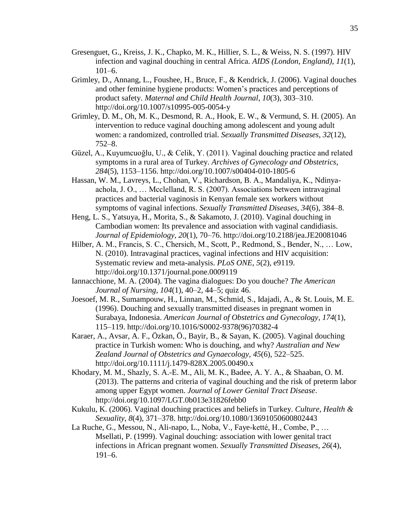- Gresenguet, G., Kreiss, J. K., Chapko, M. K., Hillier, S. L., & Weiss, N. S. (1997). HIV infection and vaginal douching in central Africa. *AIDS (London, England)*, *11*(1), 101–6.
- Grimley, D., Annang, L., Foushee, H., Bruce, F., & Kendrick, J. (2006). Vaginal douches and other feminine hygiene products: Women's practices and perceptions of product safety. *Maternal and Child Health Journal*, *10*(3), 303–310. http://doi.org/10.1007/s10995-005-0054-y
- Grimley, D. M., Oh, M. K., Desmond, R. A., Hook, E. W., & Vermund, S. H. (2005). An intervention to reduce vaginal douching among adolescent and young adult women: a randomized, controlled trial. *Sexually Transmitted Diseases*, *32*(12), 752–8.
- Güzel, A., Kuyumcuoğlu, U., & Celik, Y. (2011). Vaginal douching practice and related symptoms in a rural area of Turkey. *Archives of Gynecology and Obstetrics*, *284*(5), 1153–1156. http://doi.org/10.1007/s00404-010-1805-6
- Hassan, W. M., Lavreys, L., Chohan, V., Richardson, B. A., Mandaliya, K., Ndinyaachola, J. O., … Mcclelland, R. S. (2007). Associations between intravaginal practices and bacterial vaginosis in Kenyan female sex workers without symptoms of vaginal infections. *Sexually Transmitted Diseases*, *34*(6), 384–8.
- Heng, L. S., Yatsuya, H., Morita, S., & Sakamoto, J. (2010). Vaginal douching in Cambodian women: Its prevalence and association with vaginal candidiasis. *Journal of Epidemiology*, *20*(1), 70–76. http://doi.org/10.2188/jea.JE20081046
- Hilber, A. M., Francis, S. C., Chersich, M., Scott, P., Redmond, S., Bender, N., … Low, N. (2010). Intravaginal practices, vaginal infections and HIV acquisition: Systematic review and meta-analysis. *PLoS ONE*, *5*(2), e9119. http://doi.org/10.1371/journal.pone.0009119
- Iannacchione, M. A. (2004). The vagina dialogues: Do you douche? *The American Journal of Nursing*, *104*(1), 40–2, 44–5; quiz 46.
- Joesoef, M. R., Sumampouw, H., Linnan, M., Schmid, S., Idajadi, A., & St. Louis, M. E. (1996). Douching and sexually transmitted diseases in pregnant women in Surabaya, Indonesia. *American Journal of Obstetrics and Gynecology*, *174*(1), 115–119. http://doi.org/10.1016/S0002-9378(96)70382-4
- Karaer, A., Avsar, A. F., Özkan, Ö., Bayir, B., & Sayan, K. (2005). Vaginal douching practice in Turkish women: Who is douching, and why? *Australian and New Zealand Journal of Obstetrics and Gynaecology*, *45*(6), 522–525. http://doi.org/10.1111/j.1479-828X.2005.00490.x
- Khodary, M. M., Shazly, S. A.-E. M., Ali, M. K., Badee, A. Y. A., & Shaaban, O. M. (2013). The patterns and criteria of vaginal douching and the risk of preterm labor among upper Egypt women. *Journal of Lower Genital Tract Disease*. http://doi.org/10.1097/LGT.0b013e31826febb0
- Kukulu, K. (2006). Vaginal douching practices and beliefs in Turkey. *Culture, Health & Sexuality*, *8*(4), 371–378. http://doi.org/10.1080/13691050600802443
- La Ruche, G., Messou, N., Ali-napo, L., Noba, V., Faye-ketté, H., Combe, P., … Msellati, P. (1999). Vaginal douching: association with lower genital tract infections in African pregnant women. *Sexually Transmitted Diseases*, *26*(4), 191–6.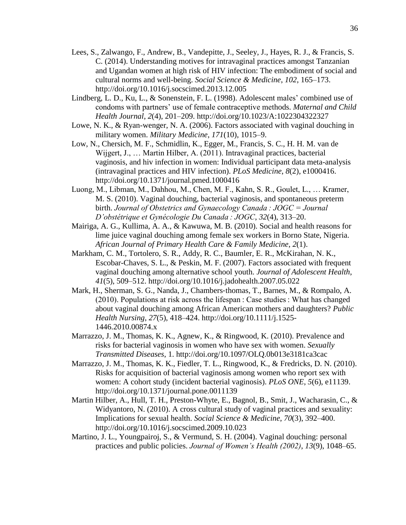- Lees, S., Zalwango, F., Andrew, B., Vandepitte, J., Seeley, J., Hayes, R. J., & Francis, S. C. (2014). Understanding motives for intravaginal practices amongst Tanzanian and Ugandan women at high risk of HIV infection: The embodiment of social and cultural norms and well-being. *Social Science & Medicine*, *102*, 165–173. http://doi.org/10.1016/j.socscimed.2013.12.005
- Lindberg, L. D., Ku, L., & Sonenstein, F. L. (1998). Adolescent males' combined use of condoms with partners' use of female contraceptive methods. *Maternal and Child Health Journal*, *2*(4), 201–209. http://doi.org/10.1023/A:1022304322327
- Lowe, N. K., & Ryan-wenger, N. A. (2006). Factors associated with vaginal douching in military women. *Military Medicine*, *171*(10), 1015–9.
- Low, N., Chersich, M. F., Schmidlin, K., Egger, M., Francis, S. C., H. H. M. van de Wijgert, J., … Martin Hilber, A. (2011). Intravaginal practices, bacterial vaginosis, and hiv infection in women: Individual participant data meta-analysis (intravaginal practices and HIV infection). *PLoS Medicine*, *8*(2), e1000416. http://doi.org/10.1371/journal.pmed.1000416
- Luong, M., Libman, M., Dahhou, M., Chen, M. F., Kahn, S. R., Goulet, L., … Kramer, M. S. (2010). Vaginal douching, bacterial vaginosis, and spontaneous preterm birth. *Journal of Obstetrics and Gynaecology Canada : JOGC = Journal D'obstétrique et Gynécologie Du Canada : JOGC*, *32*(4), 313–20.
- Mairiga, A. G., Kullima, A. A., & Kawuwa, M. B. (2010). Social and health reasons for lime juice vaginal douching among female sex workers in Borno State, Nigeria. *African Journal of Primary Health Care & Family Medicine*, *2*(1).
- Markham, C. M., Tortolero, S. R., Addy, R. C., Baumler, E. R., McKirahan, N. K., Escobar-Chaves, S. L., & Peskin, M. F. (2007). Factors associated with frequent vaginal douching among alternative school youth. *Journal of Adolescent Health*, *41*(5), 509–512. http://doi.org/10.1016/j.jadohealth.2007.05.022
- Mark, H., Sherman, S. G., Nanda, J., Chambers‐thomas, T., Barnes, M., & Rompalo, A. (2010). Populations at risk across the lifespan : Case studies : What has changed about vaginal douching among African American mothers and daughters? *Public Health Nursing*, *27*(5), 418–424. http://doi.org/10.1111/j.1525- 1446.2010.00874.x
- Marrazzo, J. M., Thomas, K. K., Agnew, K., & Ringwood, K. (2010). Prevalence and risks for bacterial vaginosis in women who have sex with women. *Sexually Transmitted Diseases*, 1. http://doi.org/10.1097/OLQ.0b013e3181ca3cac
- Marrazzo, J. M., Thomas, K. K., Fiedler, T. L., Ringwood, K., & Fredricks, D. N. (2010). Risks for acquisition of bacterial vaginosis among women who report sex with women: A cohort study (incident bacterial vaginosis). *PLoS ONE*, *5*(6), e11139. http://doi.org/10.1371/journal.pone.0011139
- Martin Hilber, A., Hull, T. H., Preston-Whyte, E., Bagnol, B., Smit, J., Wacharasin, C., & Widyantoro, N. (2010). A cross cultural study of vaginal practices and sexuality: Implications for sexual health. *Social Science & Medicine*, *70*(3), 392–400. http://doi.org/10.1016/j.socscimed.2009.10.023
- Martino, J. L., Youngpairoj, S., & Vermund, S. H. (2004). Vaginal douching: personal practices and public policies. *Journal of Women's Health (2002)*, *13*(9), 1048–65.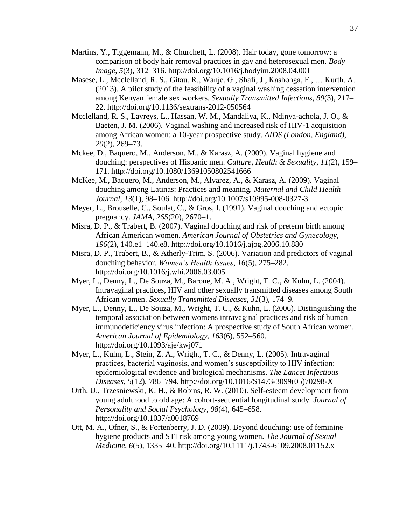- Martins, Y., Tiggemann, M., & Churchett, L. (2008). Hair today, gone tomorrow: a comparison of body hair removal practices in gay and heterosexual men. *Body Image*, *5*(3), 312–316. http://doi.org/10.1016/j.bodyim.2008.04.001
- Masese, L., Mcclelland, R. S., Gitau, R., Wanje, G., Shafi, J., Kashonga, F., … Kurth, A. (2013). A pilot study of the feasibility of a vaginal washing cessation intervention among Kenyan female sex workers. *Sexually Transmitted Infections*, *89*(3), 217– 22. http://doi.org/10.1136/sextrans-2012-050564
- Mcclelland, R. S., Lavreys, L., Hassan, W. M., Mandaliya, K., Ndinya-achola, J. O., & Baeten, J. M. (2006). Vaginal washing and increased risk of HIV-1 acquisition among African women: a 10-year prospective study. *AIDS (London, England)*, *20*(2), 269–73.
- Mckee, D., Baquero, M., Anderson, M., & Karasz, A. (2009). Vaginal hygiene and douching: perspectives of Hispanic men. *Culture, Health & Sexuality*, *11*(2), 159– 171. http://doi.org/10.1080/13691050802541666
- McKee, M., Baquero, M., Anderson, M., Alvarez, A., & Karasz, A. (2009). Vaginal douching among Latinas: Practices and meaning. *Maternal and Child Health Journal*, *13*(1), 98–106. http://doi.org/10.1007/s10995-008-0327-3
- Meyer, L., Brouselle, C., Soulat, C., & Gros, I. (1991). Vaginal douching and ectopic pregnancy. *JAMA*, *265*(20), 2670–1.
- Misra, D. P., & Trabert, B. (2007). Vaginal douching and risk of preterm birth among African American women. *American Journal of Obstetrics and Gynecology*, *196*(2), 140.e1–140.e8. http://doi.org/10.1016/j.ajog.2006.10.880
- Misra, D. P., Trabert, B., & Atherly-Trim, S. (2006). Variation and predictors of vaginal douching behavior. *Women's Health Issues*, *16*(5), 275–282. http://doi.org/10.1016/j.whi.2006.03.005
- Myer, L., Denny, L., De Souza, M., Barone, M. A., Wright, T. C., & Kuhn, L. (2004). Intravaginal practices, HIV and other sexually transmitted diseases among South African women. *Sexually Transmitted Diseases*, *31*(3), 174–9.
- Myer, L., Denny, L., De Souza, M., Wright, T. C., & Kuhn, L. (2006). Distinguishing the temporal association between womens intravaginal practices and risk of human immunodeficiency virus infection: A prospective study of South African women. *American Journal of Epidemiology*, *163*(6), 552–560. http://doi.org/10.1093/aje/kwj071
- Myer, L., Kuhn, L., Stein, Z. A., Wright, T. C., & Denny, L. (2005). Intravaginal practices, bacterial vaginosis, and women's susceptibility to HIV infection: epidemiological evidence and biological mechanisms. *The Lancet Infectious Diseases*, *5*(12), 786–794. http://doi.org/10.1016/S1473-3099(05)70298-X
- Orth, U., Trzesniewski, K. H., & Robins, R. W. (2010). Self-esteem development from young adulthood to old age: A cohort-sequential longitudinal study. *Journal of Personality and Social Psychology*, *98*(4), 645–658. http://doi.org/10.1037/a0018769
- Ott, M. A., Ofner, S., & Fortenberry, J. D. (2009). Beyond douching: use of feminine hygiene products and STI risk among young women. *The Journal of Sexual Medicine*, *6*(5), 1335–40. http://doi.org/10.1111/j.1743-6109.2008.01152.x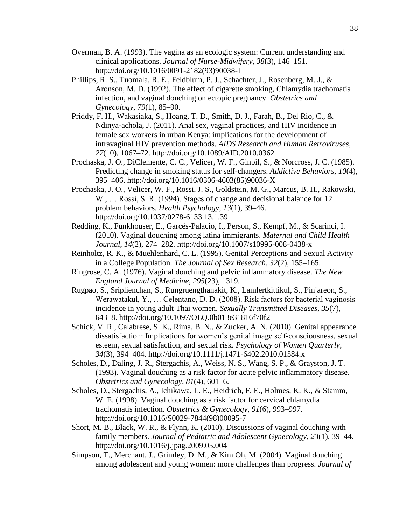- Overman, B. A. (1993). The vagina as an ecologic system: Current understanding and clinical applications. *Journal of Nurse-Midwifery*, *38*(3), 146–151. http://doi.org/10.1016/0091-2182(93)90038-I
- Phillips, R. S., Tuomala, R. E., Feldblum, P. J., Schachter, J., Rosenberg, M. J., & Aronson, M. D. (1992). The effect of cigarette smoking, Chlamydia trachomatis infection, and vaginal douching on ectopic pregnancy. *Obstetrics and Gynecology*, *79*(1), 85–90.
- Priddy, F. H., Wakasiaka, S., Hoang, T. D., Smith, D. J., Farah, B., Del Rio, C., & Ndinya-achola, J. (2011). Anal sex, vaginal practices, and HIV incidence in female sex workers in urban Kenya: implications for the development of intravaginal HIV prevention methods. *AIDS Research and Human Retroviruses*, *27*(10), 1067–72. http://doi.org/10.1089/AID.2010.0362
- Prochaska, J. O., DiClemente, C. C., Velicer, W. F., Ginpil, S., & Norcross, J. C. (1985). Predicting change in smoking status for self-changers. *Addictive Behaviors*, *10*(4), 395–406. http://doi.org/10.1016/0306-4603(85)90036-X
- Prochaska, J. O., Velicer, W. F., Rossi, J. S., Goldstein, M. G., Marcus, B. H., Rakowski, W., ... Rossi, S. R. (1994). Stages of change and decisional balance for 12 problem behaviors. *Health Psychology*, *13*(1), 39–46. http://doi.org/10.1037/0278-6133.13.1.39
- Redding, K., Funkhouser, E., Garcés-Palacio, I., Person, S., Kempf, M., & Scarinci, I. (2010). Vaginal douching among latina immigrants. *Maternal and Child Health Journal*, *14*(2), 274–282. http://doi.org/10.1007/s10995-008-0438-x
- Reinholtz, R. K., & Muehlenhard, C. L. (1995). Genital Perceptions and Sexual Activity in a College Population. *The Journal of Sex Research*, *32*(2), 155–165.
- Ringrose, C. A. (1976). Vaginal douching and pelvic inflammatory disease. *The New England Journal of Medicine*, *295*(23), 1319.
- Rugpao, S., Sriplienchan, S., Rungruengthanakit, K., Lamlertkittikul, S., Pinjareon, S., Werawatakul, Y., … Celentano, D. D. (2008). Risk factors for bacterial vaginosis incidence in young adult Thai women. *Sexually Transmitted Diseases*, *35*(7), 643–8. http://doi.org/10.1097/OLQ.0b013e31816f70f2
- Schick, V. R., Calabrese, S. K., Rima, B. N., & Zucker, A. N. (2010). Genital appearance dissatisfaction: Implications for women's genital image self-consciousness, sexual esteem, sexual satisfaction, and sexual risk. *Psychology of Women Quarterly*, *34*(3), 394–404. http://doi.org/10.1111/j.1471-6402.2010.01584.x
- Scholes, D., Daling, J. R., Stergachis, A., Weiss, N. S., Wang, S. P., & Grayston, J. T. (1993). Vaginal douching as a risk factor for acute pelvic inflammatory disease. *Obstetrics and Gynecology*, *81*(4), 601–6.
- Scholes, D., Stergachis, A., Ichikawa, L. E., Heidrich, F. E., Holmes, K. K., & Stamm, W. E. (1998). Vaginal douching as a risk factor for cervical chlamydia trachomatis infection. *Obstetrics & Gynecology*, *91*(6), 993–997. http://doi.org/10.1016/S0029-7844(98)00095-7
- Short, M. B., Black, W. R., & Flynn, K. (2010). Discussions of vaginal douching with family members. *Journal of Pediatric and Adolescent Gynecology*, *23*(1), 39–44. http://doi.org/10.1016/j.jpag.2009.05.004
- Simpson, T., Merchant, J., Grimley, D. M., & Kim Oh, M. (2004). Vaginal douching among adolescent and young women: more challenges than progress. *Journal of*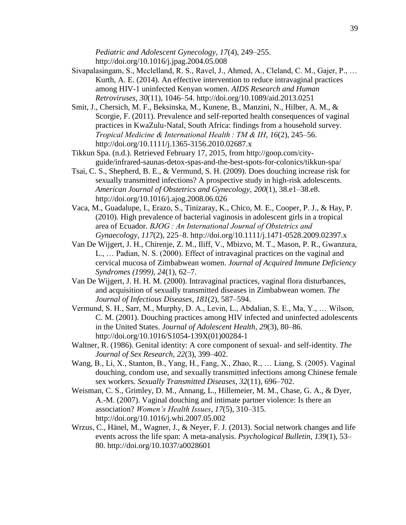*Pediatric and Adolescent Gynecology*, *17*(4), 249–255. http://doi.org/10.1016/j.jpag.2004.05.008

- Sivapalasingam, S., Mcclelland, R. S., Ravel, J., Ahmed, A., Cleland, C. M., Gajer, P., … Kurth, A. E. (2014). An effective intervention to reduce intravaginal practices among HIV-1 uninfected Kenyan women. *AIDS Research and Human Retroviruses*, *30*(11), 1046–54. http://doi.org/10.1089/aid.2013.0251
- Smit, J., Chersich, M. F., Beksinska, M., Kunene, B., Manzini, N., Hilber, A. M., & Scorgie, F. (2011). Prevalence and self-reported health consequences of vaginal practices in KwaZulu-Natal, South Africa: findings from a household survey. *Tropical Medicine & International Health : TM & IH*, *16*(2), 245–56. http://doi.org/10.1111/j.1365-3156.2010.02687.x
- Tikkun Spa. (n.d.). Retrieved February 17, 2015, from http://goop.com/cityguide/infrared-saunas-detox-spas-and-the-best-spots-for-colonics/tikkun-spa/
- Tsai, C. S., Shepherd, B. E., & Vermund, S. H. (2009). Does douching increase risk for sexually transmitted infections? A prospective study in high-risk adolescents. *American Journal of Obstetrics and Gynecology*, *200*(1), 38.e1–38.e8. http://doi.org/10.1016/j.ajog.2008.06.026
- Vaca, M., Guadalupe, I., Erazo, S., Tinizaray, K., Chico, M. E., Cooper, P. J., & Hay, P. (2010). High prevalence of bacterial vaginosis in adolescent girls in a tropical area of Ecuador. *BJOG : An International Journal of Obstetrics and Gynaecology*, *117*(2), 225–8. http://doi.org/10.1111/j.1471-0528.2009.02397.x
- Van De Wijgert, J. H., Chirenje, Z. M., Iliff, V., Mbizvo, M. T., Mason, P. R., Gwanzura, L., … Padian, N. S. (2000). Effect of intravaginal practices on the vaginal and cervical mucosa of Zimbabwean women. *Journal of Acquired Immune Deficiency Syndromes (1999)*, *24*(1), 62–7.
- Van De Wijgert, J. H. H. M. (2000). Intravaginal practices, vaginal flora disturbances, and acquisition of sexually transmitted diseases in Zimbabwean women. *The Journal of Infectious Diseases*, *181*(2), 587–594.
- Vermund, S. H., Sarr, M., Murphy, D. A., Levin, L., Abdalian, S. E., Ma, Y., … Wilson, C. M. (2001). Douching practices among HIV infected and uninfected adolescents in the United States. *Journal of Adolescent Health*, *29*(3), 80–86. http://doi.org/10.1016/S1054-139X(01)00284-1
- Waltner, R. (1986). Genital identity: A core component of sexual- and self-identity. *The Journal of Sex Research*, *22*(3), 399–402.
- Wang, B., Li, X., Stanton, B., Yang, H., Fang, X., Zhao, R., … Liang, S. (2005). Vaginal douching, condom use, and sexually transmitted infections among Chinese female sex workers. *Sexually Transmitted Diseases*, *32*(11), 696–702.
- Weisman, C. S., Grimley, D. M., Annang, L., Hillemeier, M. M., Chase, G. A., & Dyer, A.-M. (2007). Vaginal douching and intimate partner violence: Is there an association? *Women's Health Issues*, *17*(5), 310–315. http://doi.org/10.1016/j.whi.2007.05.002
- Wrzus, C., Hänel, M., Wagner, J., & Neyer, F. J. (2013). Social network changes and life events across the life span: A meta-analysis. *Psychological Bulletin*, *139*(1), 53– 80. http://doi.org/10.1037/a0028601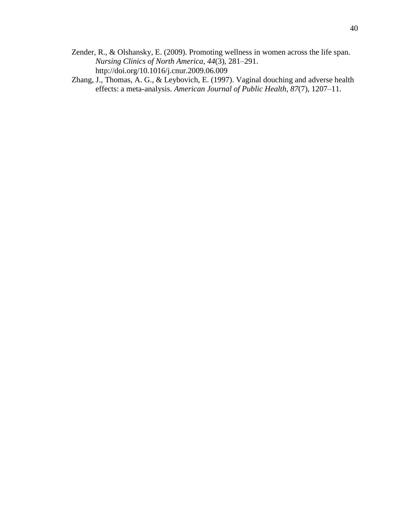- Zender, R., & Olshansky, E. (2009). Promoting wellness in women across the life span. *Nursing Clinics of North America*, *44*(3), 281–291. http://doi.org/10.1016/j.cnur.2009.06.009
- Zhang, J., Thomas, A. G., & Leybovich, E. (1997). Vaginal douching and adverse health effects: a meta-analysis. *American Journal of Public Health*, *87*(7), 1207–11.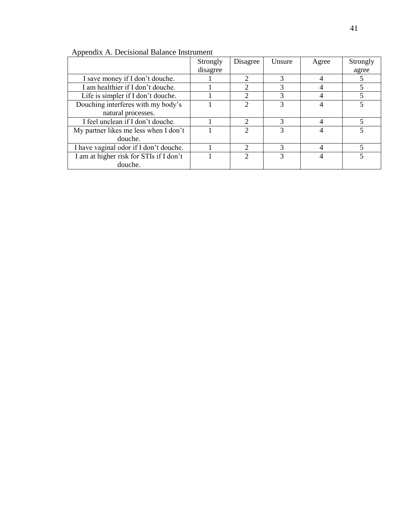|                                         | Strongly | Disagree      | Unsure | Agree | Strongly |
|-----------------------------------------|----------|---------------|--------|-------|----------|
|                                         | disagree |               |        |       | agree    |
| I save money if I don't douche.         |          | ∍             |        | 4     |          |
| I am healthier if I don't douche.       |          | 2             |        |       |          |
| Life is simpler if I don't douche.      |          | 2             |        | 4     |          |
| Douching interferes with my body's      |          | $\mathcal{D}$ |        | 4     |          |
| natural processes.                      |          |               |        |       |          |
| I feel unclean if I don't douche.       |          | っ             |        | 4     |          |
| My partner likes me less when I don't   |          | $\mathcal{D}$ |        |       |          |
| douche.                                 |          |               |        |       |          |
| I have vaginal odor if I don't douche.  |          | $\mathcal{D}$ |        | 4     |          |
| I am at higher risk for STIs if I don't |          | $\mathcal{D}$ |        |       |          |
| douche.                                 |          |               |        |       |          |

Appendix A. Decisional Balance Instrument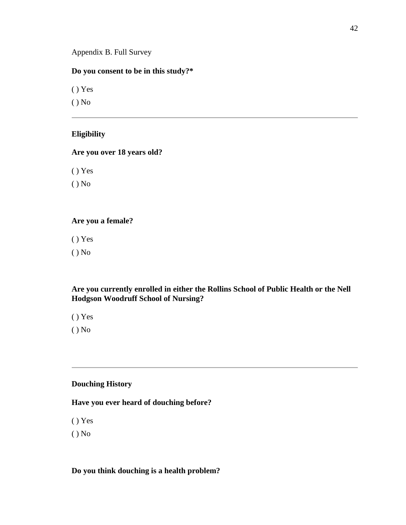Appendix B. Full Survey

## **Do you consent to be in this study?\***

( ) Yes

( ) No

# <span id="page-47-0"></span>**Eligibility**

### **Are you over 18 years old?**

( ) Yes

( ) No

# **Are you a female?**

( ) Yes

( ) No

# **Are you currently enrolled in either the Rollins School of Public Health or the Nell Hodgson Woodruff School of Nursing?**

( ) Yes

( ) No

# <span id="page-47-1"></span>**Douching History**

# **Have you ever heard of douching before?**

( ) Yes

( ) No

# **Do you think douching is a health problem?**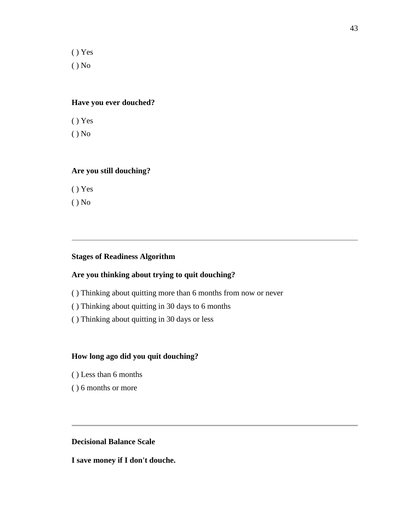( ) Yes ( ) No

# **Have you ever douched?**

- ( ) Yes
- ( ) No

### **Are you still douching?**

- ( ) Yes
- ( ) No

# <span id="page-48-0"></span>**Stages of Readiness Algorithm**

# **Are you thinking about trying to quit douching?**

- ( ) Thinking about quitting more than 6 months from now or never
- ( ) Thinking about quitting in 30 days to 6 months
- ( ) Thinking about quitting in 30 days or less

### **How long ago did you quit douching?**

- ( ) Less than 6 months
- ( ) 6 months or more

# <span id="page-48-1"></span>**Decisional Balance Scale**

**I save money if I don't douche.**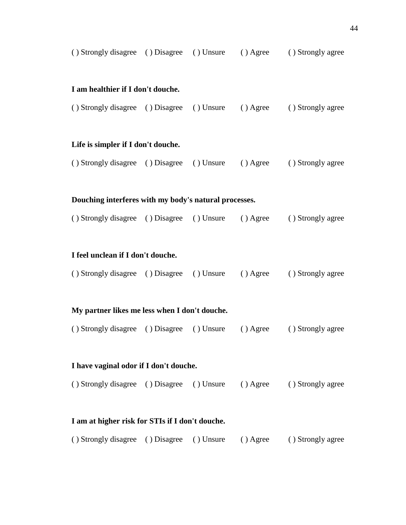( ) Strongly disagree ( ) Disagree ( ) Unsure ( ) Agree ( ) Strongly agree

# **I am healthier if I don't douche.**

( ) Strongly disagree ( ) Disagree ( ) Unsure ( ) Agree ( ) Strongly agree

### **Life is simpler if I don't douche.**

( ) Strongly disagree ( ) Disagree ( ) Unsure ( ) Agree ( ) Strongly agree

### **Douching interferes with my body's natural processes.**

( ) Strongly disagree ( ) Disagree ( ) Unsure ( ) Agree ( ) Strongly agree

### **I feel unclean if I don't douche.**

|  | () Strongly disagree () Disagree () Unsure |  |  | $()$ Agree | () Strongly agree |
|--|--------------------------------------------|--|--|------------|-------------------|
|--|--------------------------------------------|--|--|------------|-------------------|

### **My partner likes me less when I don't douche.**

( ) Strongly disagree ( ) Disagree ( ) Unsure ( ) Agree ( ) Strongly agree

#### **I have vaginal odor if I don't douche.**

( ) Strongly disagree ( ) Disagree ( ) Unsure ( ) Agree ( ) Strongly agree

### **I am at higher risk for STIs if I don't douche.**

( ) Strongly disagree ( ) Disagree ( ) Unsure ( ) Agree ( ) Strongly agree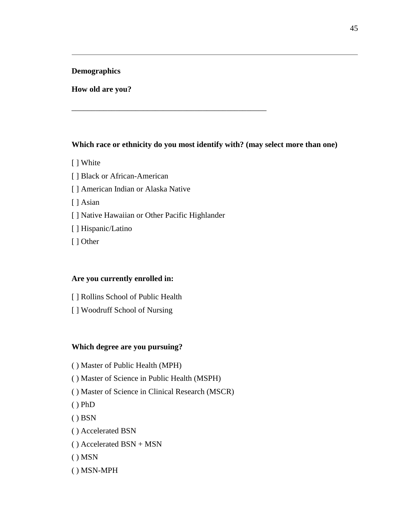# <span id="page-50-0"></span>**Demographics**

### <span id="page-50-1"></span>**How old are you?**

### **Which race or ethnicity do you most identify with? (may select more than one)**

- [ ] White
- [ ] Black or African-American
- [ ] American Indian or Alaska Native
- [ ] Asian
- [ ] Native Hawaiian or Other Pacific Highlander

\_\_\_\_\_\_\_\_\_\_\_\_\_\_\_\_\_\_\_\_\_\_\_\_\_\_\_\_\_\_\_\_\_\_\_\_\_\_\_\_\_\_\_\_\_\_\_\_\_

- [ ] Hispanic/Latino
- [ ] Other

### **Are you currently enrolled in:**

- [ ] Rollins School of Public Health
- [ ] Woodruff School of Nursing

# **Which degree are you pursuing?**

- ( ) Master of Public Health (MPH)
- ( ) Master of Science in Public Health (MSPH)
- ( ) Master of Science in Clinical Research (MSCR)
- $() **PhD**$
- $()$  BSN
- ( ) Accelerated BSN
- ( ) Accelerated BSN + MSN
- ( ) MSN
- ( ) MSN-MPH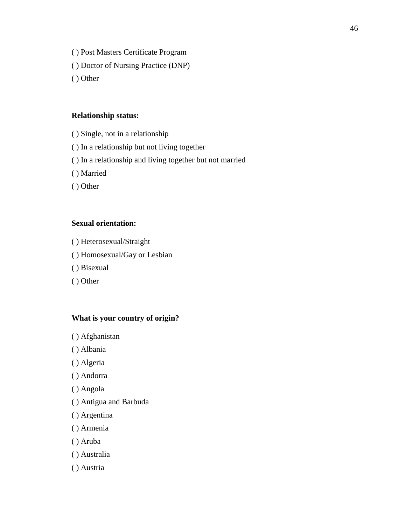- ( ) Post Masters Certificate Program
- ( ) Doctor of Nursing Practice (DNP)
- ( ) Other

### **Relationship status:**

- ( ) Single, not in a relationship
- ( ) In a relationship but not living together
- ( ) In a relationship and living together but not married
- ( ) Married
- ( ) Other

# **Sexual orientation:**

- ( ) Heterosexual/Straight
- ( ) Homosexual/Gay or Lesbian
- ( ) Bisexual
- ( ) Other

# **What is your country of origin?**

- ( ) Afghanistan
- ( ) Albania
- ( ) Algeria
- ( ) Andorra
- ( ) Angola
- ( ) Antigua and Barbuda
- ( ) Argentina
- ( ) Armenia
- ( ) Aruba
- ( ) Australia
- ( ) Austria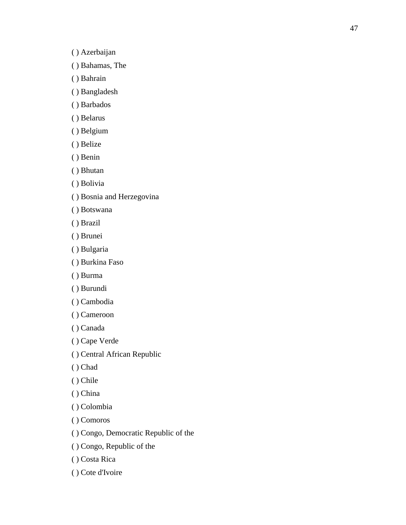( ) Azerbaijan

( ) Bahamas, The

- ( ) Bahrain
- ( ) Bangladesh
- ( ) Barbados
- ( ) Belarus
- ( ) Belgium
- ( ) Belize
- ( ) Benin
- ( ) Bhutan
- ( ) Bolivia
- ( ) Bosnia and Herzegovina
- ( ) Botswana
- ( ) Brazil
- ( ) Brunei
- ( ) Bulgaria
- ( ) Burkina Faso
- ( ) Burma
- ( ) Burundi
- ( ) Cambodia
- ( ) Cameroon
- ( ) Canada
- ( ) Cape Verde
- ( ) Central African Republic
- ( ) Chad
- ( ) Chile
- ( ) China
- ( ) Colombia
- ( ) Comoros
- ( ) Congo, Democratic Republic of the
- ( ) Congo, Republic of the
- ( ) Costa Rica
- ( ) Cote d'Ivoire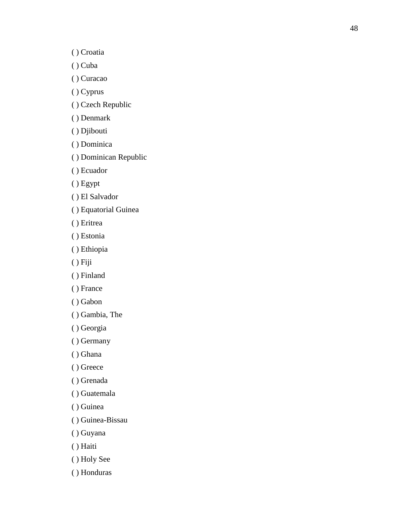( ) Croatia

( ) Cuba

( ) Curacao

( ) Cyprus

( ) Czech Republic

( ) Denmark

( ) Djibouti

( ) Dominica

( ) Dominican Republic

( ) Ecuador

( ) Egypt

( ) El Salvador

( ) Equatorial Guinea

( ) Eritrea

( ) Estonia

( ) Ethiopia

( ) Fiji

( ) Finland

( ) France

( ) Gabon

( ) Gambia, The

( ) Georgia

( ) Germany

( ) Ghana

( ) Greece

( ) Grenada

( ) Guatemala

( ) Guinea

( ) Guinea -Bissau

( ) Guyana

( ) Haiti

( ) Holy See

( ) Honduras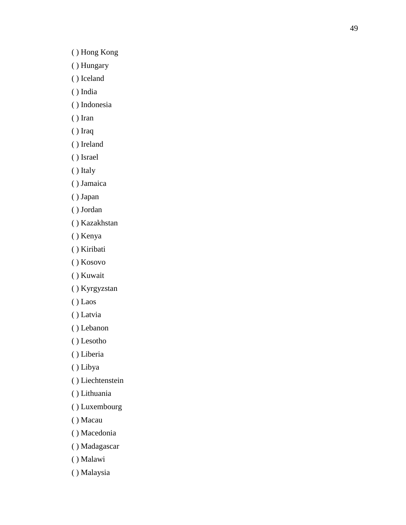- ( ) Hungary
- ( ) Iceland
- ( ) India
- ( ) Indonesia
- ( ) Iran
- ( ) Iraq
- ( ) Ireland
- ( ) Israel
- ( ) Italy
- ( ) Jamaica
- ( ) Japan
- ( ) Jordan
- ( ) Kazakhstan
- ( ) Kenya
- ( ) Kiribati
- ( ) Kosovo
- ( ) Kuwait
- ( ) Kyrgyzstan
- ( ) Laos
- ( ) Latvia
- ( ) Lebanon
- ( ) Lesotho
- ( ) Liberia
- ( ) Libya
- ( ) Liechtenstein
- ( ) Lithuania
- ( ) Luxembourg
- ( ) Macau
- ( ) Macedonia
- ( ) Madagascar
- ( ) Malawi
- ( ) Malaysia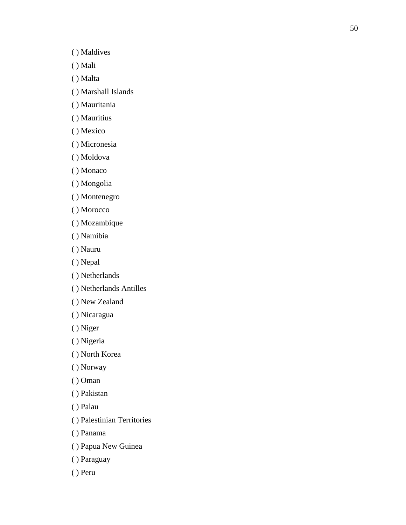( ) Maldives

( ) Mali

( ) Malta

( ) Marshall Islands

( ) Mauritania

( ) Mauritius

( ) Mexico

( ) Micronesia

( ) Moldova

( ) Monaco

( ) Mongolia

( ) Montenegro

( ) Morocco

( ) Mozambique

( ) Namibia

( ) Nauru

( ) Nepal

( ) Netherlands

( ) Netherlands Antilles

( ) New Zealand

( ) Nicaragua

( ) Niger

( ) Nigeria

( ) North Korea

( ) Norway

( ) Oman

( ) Pakistan

( ) Palau

( ) Palestinian Territories

( ) Panama

( ) Papua New Guinea

( ) Paraguay

( ) Peru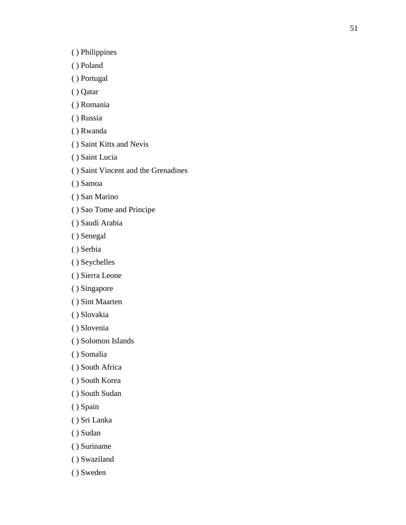( ) Philippines

- ( ) Poland
- ( ) Portugal
- ( ) Qatar
- ( ) Romania
- ( ) Russia
- ( ) Rwanda
- ( ) Saint Kitts and Nevis
- ( ) Saint Lucia
- ( ) Saint Vincent and the Grenadines
- ( ) Samoa
- ( ) San Marino
- ( ) Sao Tome and Principe
- ( ) Saudi Arabia
- ( ) Senegal
- ( ) Serbia
- ( ) Seychelles
- ( ) Sierra Leone
- ( ) Singapore
- ( ) Sint Maarten
- ( ) Slovakia
- ( ) Slovenia
- ( ) Solomon Islands
- ( ) Somalia
- ( ) South Africa
- ( ) South Korea
- ( ) South Sudan
- ( ) Spain
- ( ) Sri Lanka
- ( ) Sudan
- ( ) Suriname
- ( ) Swaziland
- ( ) Swede n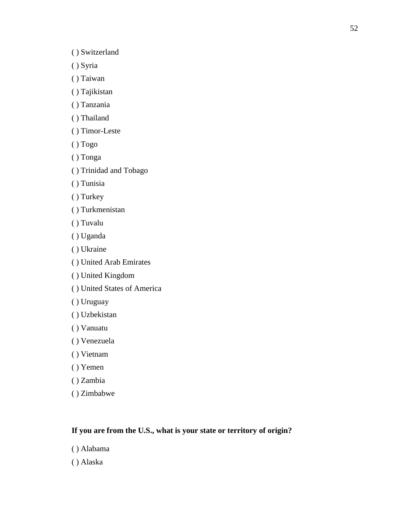( ) Switzerland

- ( ) Syria
- ( ) Taiwan
- ( ) Tajikistan
- ( ) Tanzania
- ( ) Thailand
- ( ) Timor-Leste
- ( ) Togo
- ( ) Tonga
- ( ) Trinidad and Tobago
- ( ) Tunisia
- ( ) Turkey
- ( ) Turkmenistan
- ( ) Tuvalu
- ( ) Uganda
- ( ) Ukraine
- ( ) United Arab Emirates
- ( ) United Kingdom
- ( ) United States of America
- ( ) Uruguay
- ( ) Uzbekistan
- ( ) Vanuatu
- ( ) Venezuela
- ( ) Vietnam
- ( ) Yemen
- ( ) Zambia
- ( ) Zimbabwe

# **If you are from the U.S., what is your state or territory of origin?**

- ( ) Alabama
- ( ) Alaska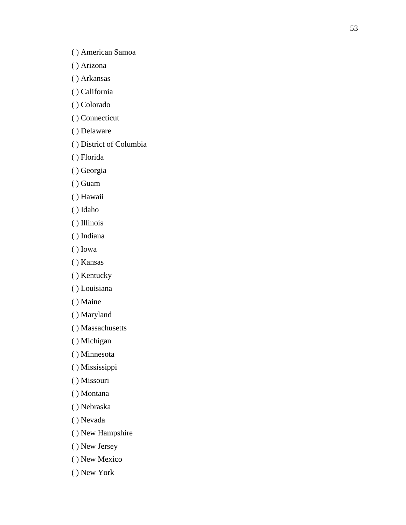( ) American Samoa

( ) Arizona

( ) Arkansas

( ) California

( ) Colorado

( ) Connecticut

( ) Delaware

( ) District of Columbia

( ) Florida

( ) Georgia

( ) Guam

( ) Hawaii

( ) Idaho

( ) Illinois

( ) Indiana

( ) Iowa

( ) Kansas

( ) Kentucky

( ) Louisiana

( ) Maine

( ) Maryland

( ) Massachusetts

( ) Michigan

( ) Minnesota

( ) Mississippi

( ) Missouri

( ) Montana

( ) Nebraska

( ) Nevada

( ) New Hampshire

( ) New Jersey

( ) New Mexico

( ) New York